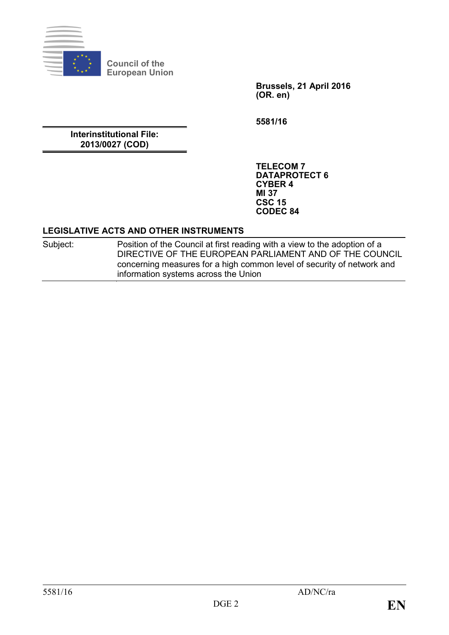

**Council of the European Union**

> **Brussels, 21 April 2016 (OR. en)**

**5581/16**

**Interinstitutional File: 2013/0027 (COD)**

> **TELECOM 7 DATAPROTECT 6 CYBER 4 MI 37 CSC 15 CODEC 84**

#### **LEGISLATIVE ACTS AND OTHER INSTRUMENTS**

Subject: Position of the Council at first reading with a view to the adoption of a DIRECTIVE OF THE EUROPEAN PARLIAMENT AND OF THE COUNCIL concerning measures for a high common level of security of network and information systems across the Union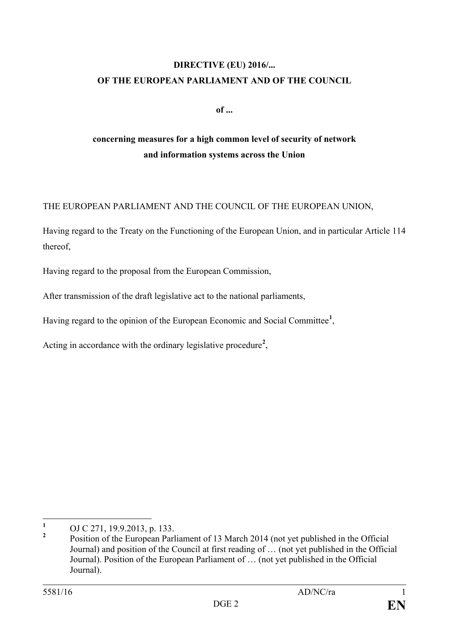## **DIRECTIVE (EU) 2016/... OF THE EUROPEAN PARLIAMENT AND OF THE COUNCIL**

**of ...**

# **concerning measures for a high common level of security of network and information systems across the Union**

## THE EUROPEAN PARLIAMENT AND THE COUNCIL OF THE EUROPEAN UNION,

Having regard to the Treaty on the Functioning of the European Union, and in particular Article 114 thereof,

Having regard to the proposal from the European Commission,

After transmission of the draft legislative act to the national parliaments,

Having regard to the opinion of the European Economic and Social Committee**[1](#page-1-0)** ,

Acting in accordance with the ordinary legislative procedure**[2](#page-1-1)** ,

<span id="page-1-1"></span>

<span id="page-1-0"></span><sup>&</sup>lt;sup>1</sup> OJ C 271, 19.9.2013, p. 133.<br><sup>2</sup> Position of the European Parliament of 13 March 2014 (not yet published in the Official Journal) and position of the Council at first reading of … (not yet published in the Official Journal). Position of the European Parliament of … (not yet published in the Official Journal).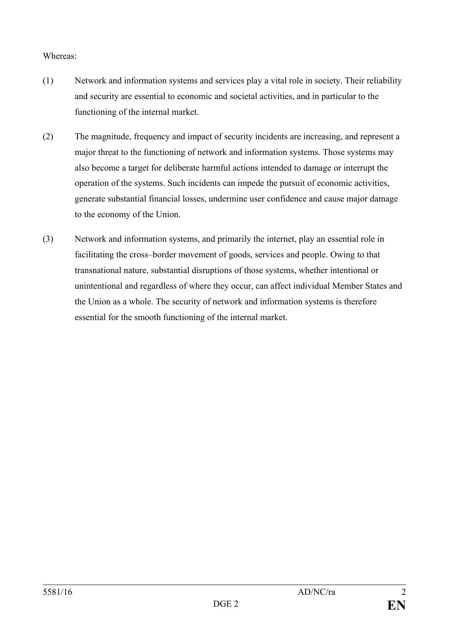#### Whereas:

- (1) Network and information systems and services play a vital role in society. Their reliability and security are essential to economic and societal activities, and in particular to the functioning of the internal market.
- (2) The magnitude, frequency and impact of security incidents are increasing, and represent a major threat to the functioning of network and information systems. Those systems may also become a target for deliberate harmful actions intended to damage or interrupt the operation of the systems. Such incidents can impede the pursuit of economic activities, generate substantial financial losses, undermine user confidence and cause major damage to the economy of the Union.
- (3) Network and information systems, and primarily the internet, play an essential role in facilitating the cross–border movement of goods, services and people. Owing to that transnational nature, substantial disruptions of those systems, whether intentional or unintentional and regardless of where they occur, can affect individual Member States and the Union as a whole. The security of network and information systems is therefore essential for the smooth functioning of the internal market.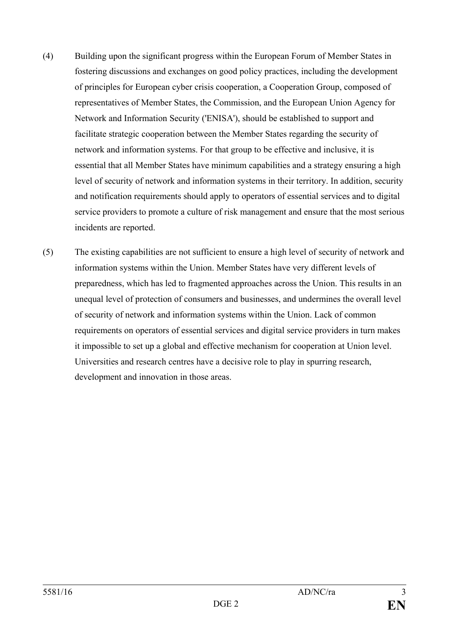- (4) Building upon the significant progress within the European Forum of Member States in fostering discussions and exchanges on good policy practices, including the development of principles for European cyber crisis cooperation, a Cooperation Group, composed of representatives of Member States, the Commission, and the European Union Agency for Network and Information Security ('ENISA'), should be established to support and facilitate strategic cooperation between the Member States regarding the security of network and information systems. For that group to be effective and inclusive, it is essential that all Member States have minimum capabilities and a strategy ensuring a high level of security of network and information systems in their territory. In addition, security and notification requirements should apply to operators of essential services and to digital service providers to promote a culture of risk management and ensure that the most serious incidents are reported.
- (5) The existing capabilities are not sufficient to ensure a high level of security of network and information systems within the Union. Member States have very different levels of preparedness, which has led to fragmented approaches across the Union. This results in an unequal level of protection of consumers and businesses, and undermines the overall level of security of network and information systems within the Union. Lack of common requirements on operators of essential services and digital service providers in turn makes it impossible to set up a global and effective mechanism for cooperation at Union level. Universities and research centres have a decisive role to play in spurring research, development and innovation in those areas.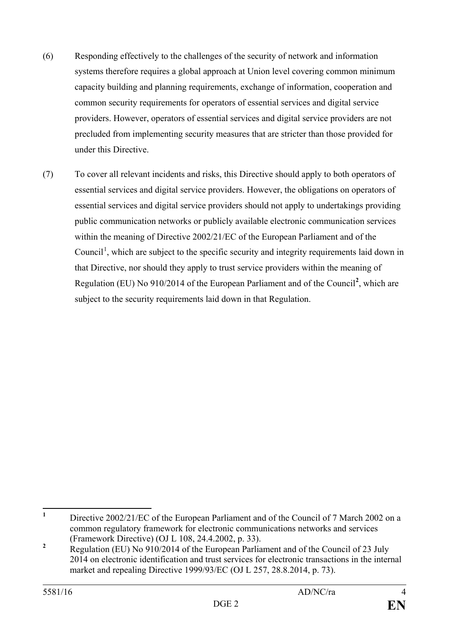- (6) Responding effectively to the challenges of the security of network and information systems therefore requires a global approach at Union level covering common minimum capacity building and planning requirements, exchange of information, cooperation and common security requirements for operators of essential services and digital service providers. However, operators of essential services and digital service providers are not precluded from implementing security measures that are stricter than those provided for under this Directive.
- (7) To cover all relevant incidents and risks, this Directive should apply to both operators of essential services and digital service providers. However, the obligations on operators of essential services and digital service providers should not apply to undertakings providing public communication networks or publicly available electronic communication services within the meaning of Directive 2002/21/EC of the European Parliament and of the Council<sup>[1](#page-4-0)</sup>, which are subject to the specific security and integrity requirements laid down in that Directive, nor should they apply to trust service providers within the meaning of Regulation (EU) No 910/2014 of the European Parliament and of the Council**[2](#page-4-1)** , which are subject to the security requirements laid down in that Regulation.

<span id="page-4-0"></span><sup>&</sup>lt;sup>1</sup> Directive 2002/21/EC of the European Parliament and of the Council of 7 March 2002 on a common regulatory framework for electronic communications networks and services

<span id="page-4-1"></span><sup>(</sup>Framework Directive) (OJ L 108, 24.4.2002, p. 33).<br>**2** Regulation (EU) No 910/2014 of the European Parliament and of the Council of 23 July 2014 on electronic identification and trust services for electronic transactions in the internal market and repealing Directive 1999/93/EC (OJ L 257, 28.8.2014, p. 73).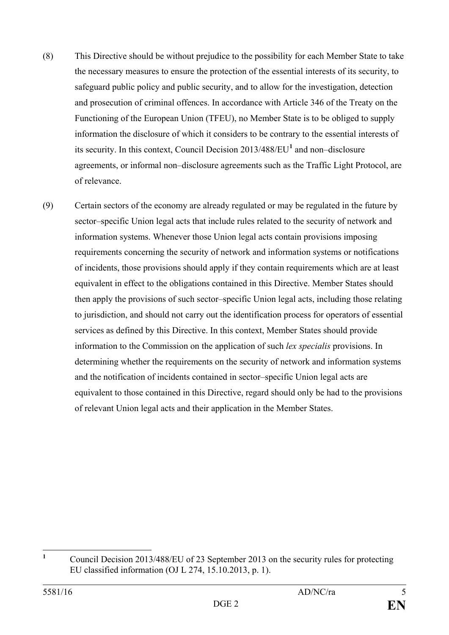- (8) This Directive should be without prejudice to the possibility for each Member State to take the necessary measures to ensure the protection of the essential interests of its security, to safeguard public policy and public security, and to allow for the investigation, detection and prosecution of criminal offences. In accordance with Article 346 of the Treaty on the Functioning of the European Union (TFEU), no Member State is to be obliged to supply information the disclosure of which it considers to be contrary to the essential interests of its security. In this context, Council Decision 2013/488/EU**[1](#page-5-0)** and non–disclosure agreements, or informal non–disclosure agreements such as the Traffic Light Protocol, are of relevance.
- (9) Certain sectors of the economy are already regulated or may be regulated in the future by sector–specific Union legal acts that include rules related to the security of network and information systems. Whenever those Union legal acts contain provisions imposing requirements concerning the security of network and information systems or notifications of incidents, those provisions should apply if they contain requirements which are at least equivalent in effect to the obligations contained in this Directive. Member States should then apply the provisions of such sector–specific Union legal acts, including those relating to jurisdiction, and should not carry out the identification process for operators of essential services as defined by this Directive. In this context, Member States should provide information to the Commission on the application of such *lex specialis* provisions. In determining whether the requirements on the security of network and information systems and the notification of incidents contained in sector–specific Union legal acts are equivalent to those contained in this Directive, regard should only be had to the provisions of relevant Union legal acts and their application in the Member States.

<span id="page-5-0"></span><sup>&</sup>lt;sup>1</sup> Council Decision 2013/488/EU of 23 September 2013 on the security rules for protecting EU classified information (OJ L 274, 15.10.2013, p. 1).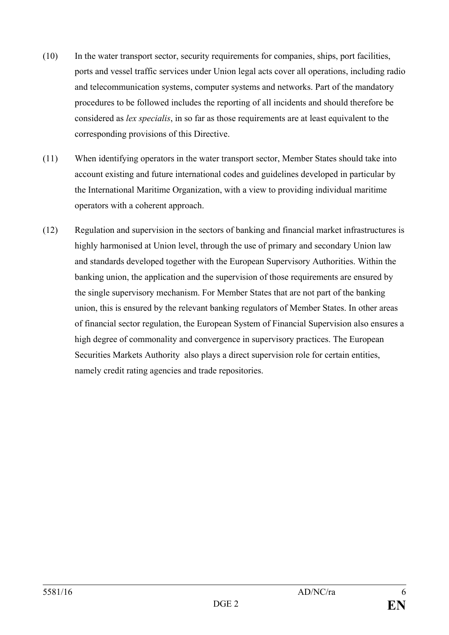- (10) In the water transport sector, security requirements for companies, ships, port facilities, ports and vessel traffic services under Union legal acts cover all operations, including radio and telecommunication systems, computer systems and networks. Part of the mandatory procedures to be followed includes the reporting of all incidents and should therefore be considered as *lex specialis*, in so far as those requirements are at least equivalent to the corresponding provisions of this Directive.
- (11) When identifying operators in the water transport sector, Member States should take into account existing and future international codes and guidelines developed in particular by the International Maritime Organization, with a view to providing individual maritime operators with a coherent approach.
- (12) Regulation and supervision in the sectors of banking and financial market infrastructures is highly harmonised at Union level, through the use of primary and secondary Union law and standards developed together with the European Supervisory Authorities. Within the banking union, the application and the supervision of those requirements are ensured by the single supervisory mechanism. For Member States that are not part of the banking union, this is ensured by the relevant banking regulators of Member States. In other areas of financial sector regulation, the European System of Financial Supervision also ensures a high degree of commonality and convergence in supervisory practices. The European Securities Markets Authority also plays a direct supervision role for certain entities, namely credit rating agencies and trade repositories.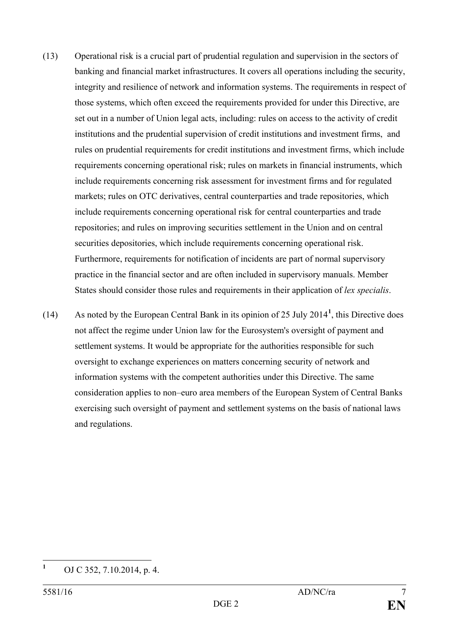- (13) Operational risk is a crucial part of prudential regulation and supervision in the sectors of banking and financial market infrastructures. It covers all operations including the security, integrity and resilience of network and information systems. The requirements in respect of those systems, which often exceed the requirements provided for under this Directive, are set out in a number of Union legal acts, including: rules on access to the activity of credit institutions and the prudential supervision of credit institutions and investment firms, and rules on prudential requirements for credit institutions and investment firms, which include requirements concerning operational risk; rules on markets in financial instruments, which include requirements concerning risk assessment for investment firms and for regulated markets; rules on OTC derivatives, central counterparties and trade repositories, which include requirements concerning operational risk for central counterparties and trade repositories; and rules on improving securities settlement in the Union and on central securities depositories, which include requirements concerning operational risk. Furthermore, requirements for notification of incidents are part of normal supervisory practice in the financial sector and are often included in supervisory manuals. Member States should consider those rules and requirements in their application of *lex specialis*.
- (14) As noted by the European Central Bank in its opinion of 25 July 2014**[1](#page-7-0)** , this Directive does not affect the regime under Union law for the Eurosystem's oversight of payment and settlement systems. It would be appropriate for the authorities responsible for such oversight to exchange experiences on matters concerning security of network and information systems with the competent authorities under this Directive. The same consideration applies to non–euro area members of the European System of Central Banks exercising such oversight of payment and settlement systems on the basis of national laws and regulations.

<span id="page-7-0"></span>**<sup>1</sup>** OJ C 352, 7.10.2014, p. 4.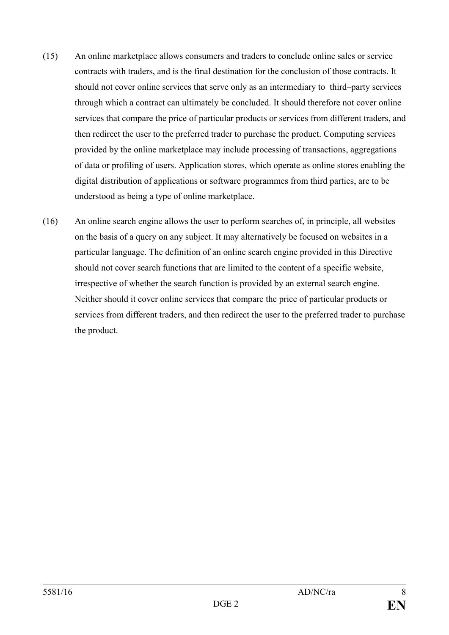- (15) An online marketplace allows consumers and traders to conclude online sales or service contracts with traders, and is the final destination for the conclusion of those contracts. It should not cover online services that serve only as an intermediary to third–party services through which a contract can ultimately be concluded. It should therefore not cover online services that compare the price of particular products or services from different traders, and then redirect the user to the preferred trader to purchase the product. Computing services provided by the online marketplace may include processing of transactions, aggregations of data or profiling of users. Application stores, which operate as online stores enabling the digital distribution of applications or software programmes from third parties, are to be understood as being a type of online marketplace.
- (16) An online search engine allows the user to perform searches of, in principle, all websites on the basis of a query on any subject. It may alternatively be focused on websites in a particular language. The definition of an online search engine provided in this Directive should not cover search functions that are limited to the content of a specific website, irrespective of whether the search function is provided by an external search engine. Neither should it cover online services that compare the price of particular products or services from different traders, and then redirect the user to the preferred trader to purchase the product.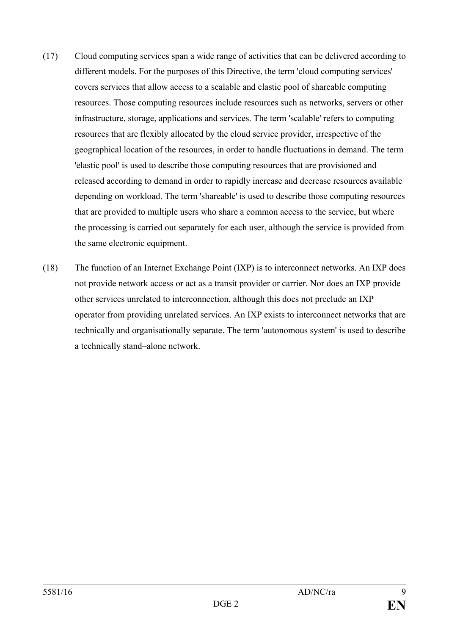- (17) Cloud computing services span a wide range of activities that can be delivered according to different models. For the purposes of this Directive, the term 'cloud computing services' covers services that allow access to a scalable and elastic pool of shareable computing resources. Those computing resources include resources such as networks, servers or other infrastructure, storage, applications and services. The term 'scalable' refers to computing resources that are flexibly allocated by the cloud service provider, irrespective of the geographical location of the resources, in order to handle fluctuations in demand. The term 'elastic pool' is used to describe those computing resources that are provisioned and released according to demand in order to rapidly increase and decrease resources available depending on workload. The term 'shareable' is used to describe those computing resources that are provided to multiple users who share a common access to the service, but where the processing is carried out separately for each user, although the service is provided from the same electronic equipment.
- (18) The function of an Internet Exchange Point (IXP) is to interconnect networks. An IXP does not provide network access or act as a transit provider or carrier. Nor does an IXP provide other services unrelated to interconnection, although this does not preclude an IXP operator from providing unrelated services. An IXP exists to interconnect networks that are technically and organisationally separate. The term 'autonomous system' is used to describe a technically stand–alone network.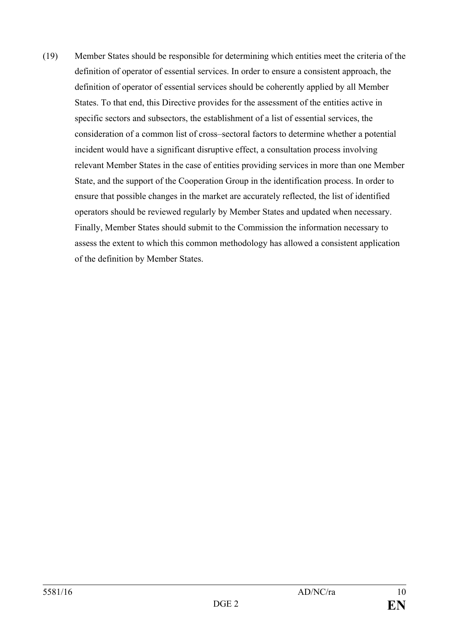(19) Member States should be responsible for determining which entities meet the criteria of the definition of operator of essential services. In order to ensure a consistent approach, the definition of operator of essential services should be coherently applied by all Member States. To that end, this Directive provides for the assessment of the entities active in specific sectors and subsectors, the establishment of a list of essential services, the consideration of a common list of cross–sectoral factors to determine whether a potential incident would have a significant disruptive effect, a consultation process involving relevant Member States in the case of entities providing services in more than one Member State, and the support of the Cooperation Group in the identification process. In order to ensure that possible changes in the market are accurately reflected, the list of identified operators should be reviewed regularly by Member States and updated when necessary. Finally, Member States should submit to the Commission the information necessary to assess the extent to which this common methodology has allowed a consistent application of the definition by Member States.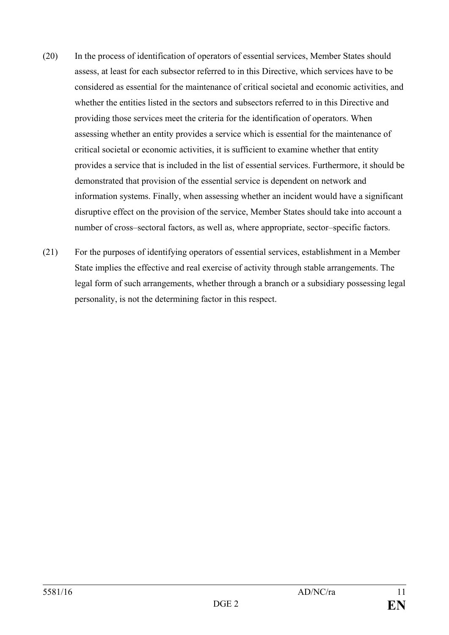- (20) In the process of identification of operators of essential services, Member States should assess, at least for each subsector referred to in this Directive, which services have to be considered as essential for the maintenance of critical societal and economic activities, and whether the entities listed in the sectors and subsectors referred to in this Directive and providing those services meet the criteria for the identification of operators. When assessing whether an entity provides a service which is essential for the maintenance of critical societal or economic activities, it is sufficient to examine whether that entity provides a service that is included in the list of essential services. Furthermore, it should be demonstrated that provision of the essential service is dependent on network and information systems. Finally, when assessing whether an incident would have a significant disruptive effect on the provision of the service, Member States should take into account a number of cross–sectoral factors, as well as, where appropriate, sector–specific factors.
- (21) For the purposes of identifying operators of essential services, establishment in a Member State implies the effective and real exercise of activity through stable arrangements. The legal form of such arrangements, whether through a branch or a subsidiary possessing legal personality, is not the determining factor in this respect.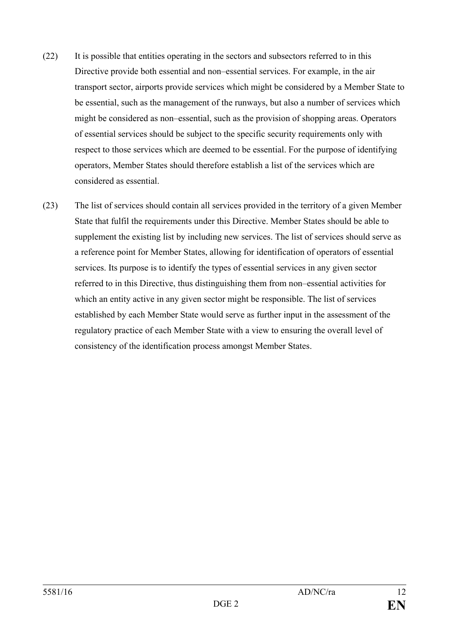- (22) It is possible that entities operating in the sectors and subsectors referred to in this Directive provide both essential and non–essential services. For example, in the air transport sector, airports provide services which might be considered by a Member State to be essential, such as the management of the runways, but also a number of services which might be considered as non–essential, such as the provision of shopping areas. Operators of essential services should be subject to the specific security requirements only with respect to those services which are deemed to be essential. For the purpose of identifying operators, Member States should therefore establish a list of the services which are considered as essential.
- (23) The list of services should contain all services provided in the territory of a given Member State that fulfil the requirements under this Directive. Member States should be able to supplement the existing list by including new services. The list of services should serve as a reference point for Member States, allowing for identification of operators of essential services. Its purpose is to identify the types of essential services in any given sector referred to in this Directive, thus distinguishing them from non–essential activities for which an entity active in any given sector might be responsible. The list of services established by each Member State would serve as further input in the assessment of the regulatory practice of each Member State with a view to ensuring the overall level of consistency of the identification process amongst Member States.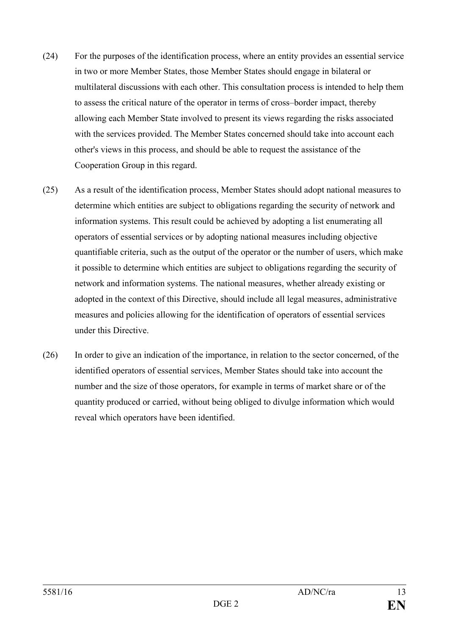- (24) For the purposes of the identification process, where an entity provides an essential service in two or more Member States, those Member States should engage in bilateral or multilateral discussions with each other. This consultation process is intended to help them to assess the critical nature of the operator in terms of cross–border impact, thereby allowing each Member State involved to present its views regarding the risks associated with the services provided. The Member States concerned should take into account each other's views in this process, and should be able to request the assistance of the Cooperation Group in this regard.
- (25) As a result of the identification process, Member States should adopt national measures to determine which entities are subject to obligations regarding the security of network and information systems. This result could be achieved by adopting a list enumerating all operators of essential services or by adopting national measures including objective quantifiable criteria, such as the output of the operator or the number of users, which make it possible to determine which entities are subject to obligations regarding the security of network and information systems. The national measures, whether already existing or adopted in the context of this Directive, should include all legal measures, administrative measures and policies allowing for the identification of operators of essential services under this Directive.
- (26) In order to give an indication of the importance, in relation to the sector concerned, of the identified operators of essential services, Member States should take into account the number and the size of those operators, for example in terms of market share or of the quantity produced or carried, without being obliged to divulge information which would reveal which operators have been identified.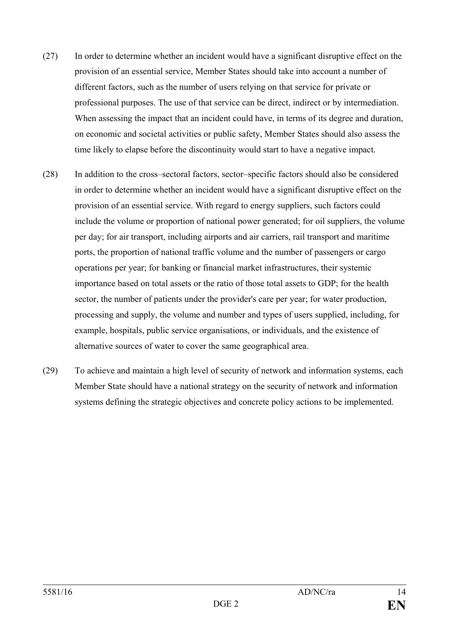- (27) In order to determine whether an incident would have a significant disruptive effect on the provision of an essential service, Member States should take into account a number of different factors, such as the number of users relying on that service for private or professional purposes. The use of that service can be direct, indirect or by intermediation. When assessing the impact that an incident could have, in terms of its degree and duration, on economic and societal activities or public safety, Member States should also assess the time likely to elapse before the discontinuity would start to have a negative impact.
- (28) In addition to the cross–sectoral factors, sector–specific factors should also be considered in order to determine whether an incident would have a significant disruptive effect on the provision of an essential service. With regard to energy suppliers, such factors could include the volume or proportion of national power generated; for oil suppliers, the volume per day; for air transport, including airports and air carriers, rail transport and maritime ports, the proportion of national traffic volume and the number of passengers or cargo operations per year; for banking or financial market infrastructures, their systemic importance based on total assets or the ratio of those total assets to GDP; for the health sector, the number of patients under the provider's care per year; for water production, processing and supply, the volume and number and types of users supplied, including, for example, hospitals, public service organisations, or individuals, and the existence of alternative sources of water to cover the same geographical area.
- (29) To achieve and maintain a high level of security of network and information systems, each Member State should have a national strategy on the security of network and information systems defining the strategic objectives and concrete policy actions to be implemented.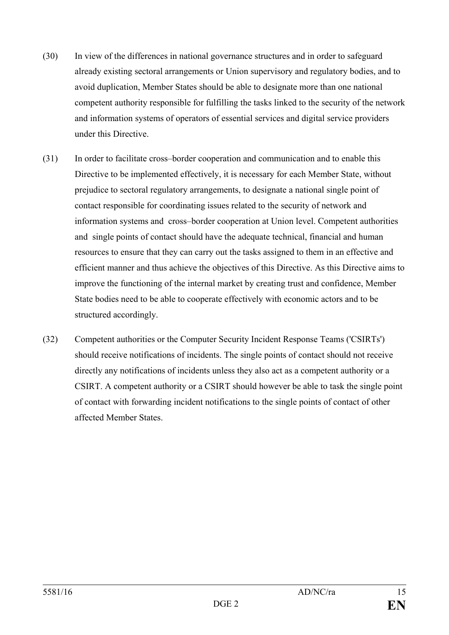- (30) In view of the differences in national governance structures and in order to safeguard already existing sectoral arrangements or Union supervisory and regulatory bodies, and to avoid duplication, Member States should be able to designate more than one national competent authority responsible for fulfilling the tasks linked to the security of the network and information systems of operators of essential services and digital service providers under this Directive.
- (31) In order to facilitate cross–border cooperation and communication and to enable this Directive to be implemented effectively, it is necessary for each Member State, without prejudice to sectoral regulatory arrangements, to designate a national single point of contact responsible for coordinating issues related to the security of network and information systems and cross–border cooperation at Union level. Competent authorities and single points of contact should have the adequate technical, financial and human resources to ensure that they can carry out the tasks assigned to them in an effective and efficient manner and thus achieve the objectives of this Directive. As this Directive aims to improve the functioning of the internal market by creating trust and confidence, Member State bodies need to be able to cooperate effectively with economic actors and to be structured accordingly.
- (32) Competent authorities or the Computer Security Incident Response Teams ('CSIRTs') should receive notifications of incidents. The single points of contact should not receive directly any notifications of incidents unless they also act as a competent authority or a CSIRT. A competent authority or a CSIRT should however be able to task the single point of contact with forwarding incident notifications to the single points of contact of other affected Member States.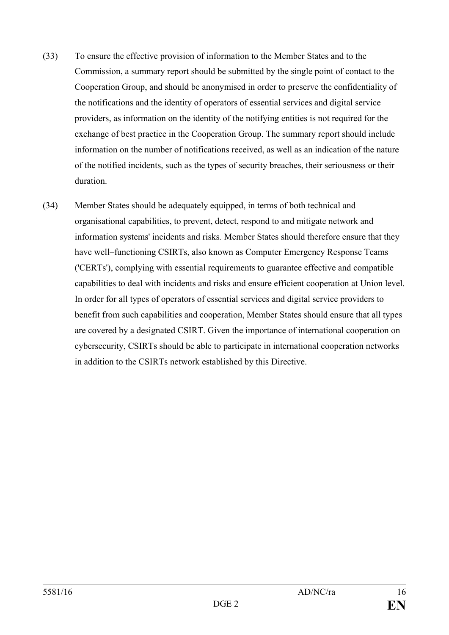- (33) To ensure the effective provision of information to the Member States and to the Commission, a summary report should be submitted by the single point of contact to the Cooperation Group, and should be anonymised in order to preserve the confidentiality of the notifications and the identity of operators of essential services and digital service providers, as information on the identity of the notifying entities is not required for the exchange of best practice in the Cooperation Group. The summary report should include information on the number of notifications received, as well as an indication of the nature of the notified incidents, such as the types of security breaches, their seriousness or their duration.
- (34) Member States should be adequately equipped, in terms of both technical and organisational capabilities, to prevent, detect, respond to and mitigate network and information systems' incidents and risks*.* Member States should therefore ensure that they have well–functioning CSIRTs, also known as Computer Emergency Response Teams ('CERTs'), complying with essential requirements to guarantee effective and compatible capabilities to deal with incidents and risks and ensure efficient cooperation at Union level. In order for all types of operators of essential services and digital service providers to benefit from such capabilities and cooperation, Member States should ensure that all types are covered by a designated CSIRT. Given the importance of international cooperation on cybersecurity, CSIRTs should be able to participate in international cooperation networks in addition to the CSIRTs network established by this Directive.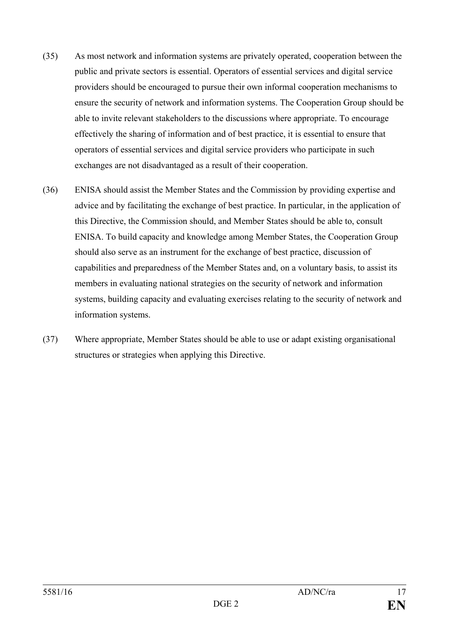- (35) As most network and information systems are privately operated, cooperation between the public and private sectors is essential. Operators of essential services and digital service providers should be encouraged to pursue their own informal cooperation mechanisms to ensure the security of network and information systems. The Cooperation Group should be able to invite relevant stakeholders to the discussions where appropriate. To encourage effectively the sharing of information and of best practice, it is essential to ensure that operators of essential services and digital service providers who participate in such exchanges are not disadvantaged as a result of their cooperation.
- (36) ENISA should assist the Member States and the Commission by providing expertise and advice and by facilitating the exchange of best practice. In particular, in the application of this Directive, the Commission should, and Member States should be able to, consult ENISA. To build capacity and knowledge among Member States, the Cooperation Group should also serve as an instrument for the exchange of best practice, discussion of capabilities and preparedness of the Member States and, on a voluntary basis, to assist its members in evaluating national strategies on the security of network and information systems, building capacity and evaluating exercises relating to the security of network and information systems.
- (37) Where appropriate, Member States should be able to use or adapt existing organisational structures or strategies when applying this Directive.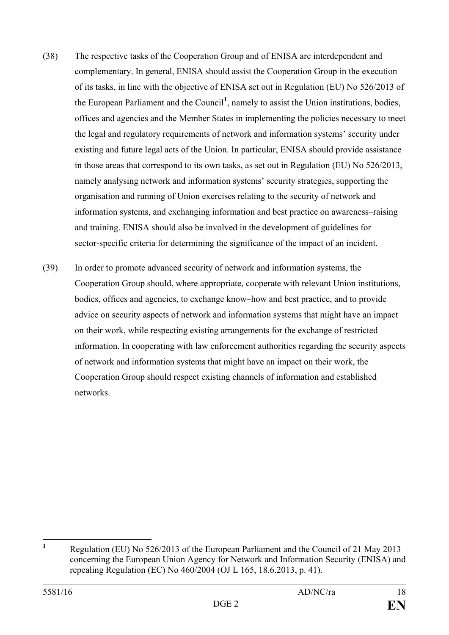- (38) The respective tasks of the Cooperation Group and of ENISA are interdependent and complementary. In general, ENISA should assist the Cooperation Group in the execution of its tasks, in line with the objective of ENISA set out in Regulation (EU) No 526/2013 of the European Parliament and the Council**[1](#page-18-0)** , namely to assist the Union institutions, bodies, offices and agencies and the Member States in implementing the policies necessary to meet the legal and regulatory requirements of network and information systems' security under existing and future legal acts of the Union. In particular, ENISA should provide assistance in those areas that correspond to its own tasks, as set out in Regulation (EU) No 526/2013, namely analysing network and information systems' security strategies, supporting the organisation and running of Union exercises relating to the security of network and information systems, and exchanging information and best practice on awareness–raising and training. ENISA should also be involved in the development of guidelines for sector-specific criteria for determining the significance of the impact of an incident.
- (39) In order to promote advanced security of network and information systems, the Cooperation Group should, where appropriate, cooperate with relevant Union institutions, bodies, offices and agencies, to exchange know–how and best practice, and to provide advice on security aspects of network and information systems that might have an impact on their work, while respecting existing arrangements for the exchange of restricted information. In cooperating with law enforcement authorities regarding the security aspects of network and information systems that might have an impact on their work, the Cooperation Group should respect existing channels of information and established networks.

<span id="page-18-0"></span><sup>&</sup>lt;sup>1</sup> Regulation (EU) No 526/2013 of the European Parliament and the Council of 21 May 2013 concerning the European Union Agency for Network and Information Security (ENISA) and repealing Regulation (EC) No 460/2004 (OJ L 165, 18.6.2013, p. 41).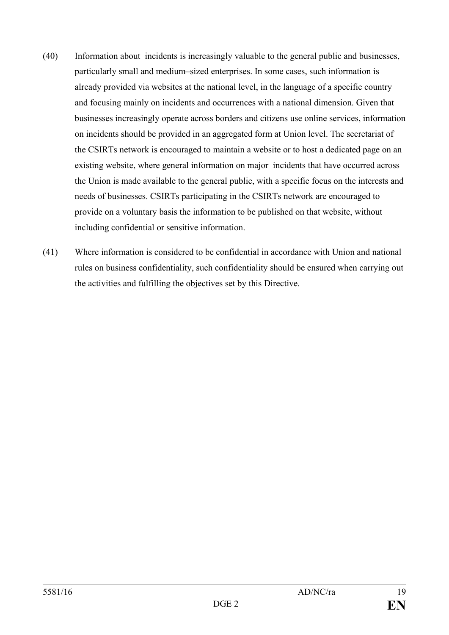- (40) Information about incidents is increasingly valuable to the general public and businesses, particularly small and medium–sized enterprises. In some cases, such information is already provided via websites at the national level, in the language of a specific country and focusing mainly on incidents and occurrences with a national dimension. Given that businesses increasingly operate across borders and citizens use online services, information on incidents should be provided in an aggregated form at Union level. The secretariat of the CSIRTs network is encouraged to maintain a website or to host a dedicated page on an existing website, where general information on major incidents that have occurred across the Union is made available to the general public, with a specific focus on the interests and needs of businesses. CSIRTs participating in the CSIRTs network are encouraged to provide on a voluntary basis the information to be published on that website, without including confidential or sensitive information.
- (41) Where information is considered to be confidential in accordance with Union and national rules on business confidentiality, such confidentiality should be ensured when carrying out the activities and fulfilling the objectives set by this Directive.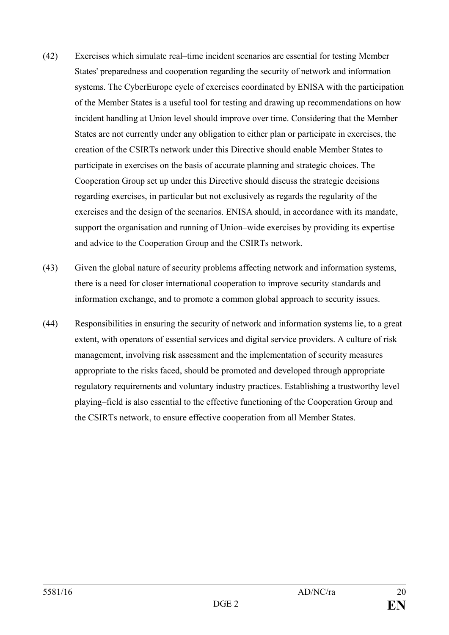- (42) Exercises which simulate real–time incident scenarios are essential for testing Member States' preparedness and cooperation regarding the security of network and information systems. The CyberEurope cycle of exercises coordinated by ENISA with the participation of the Member States is a useful tool for testing and drawing up recommendations on how incident handling at Union level should improve over time. Considering that the Member States are not currently under any obligation to either plan or participate in exercises, the creation of the CSIRTs network under this Directive should enable Member States to participate in exercises on the basis of accurate planning and strategic choices. The Cooperation Group set up under this Directive should discuss the strategic decisions regarding exercises, in particular but not exclusively as regards the regularity of the exercises and the design of the scenarios. ENISA should, in accordance with its mandate, support the organisation and running of Union–wide exercises by providing its expertise and advice to the Cooperation Group and the CSIRTs network.
- (43) Given the global nature of security problems affecting network and information systems, there is a need for closer international cooperation to improve security standards and information exchange, and to promote a common global approach to security issues.
- (44) Responsibilities in ensuring the security of network and information systems lie, to a great extent, with operators of essential services and digital service providers. A culture of risk management, involving risk assessment and the implementation of security measures appropriate to the risks faced, should be promoted and developed through appropriate regulatory requirements and voluntary industry practices. Establishing a trustworthy level playing–field is also essential to the effective functioning of the Cooperation Group and the CSIRTs network, to ensure effective cooperation from all Member States.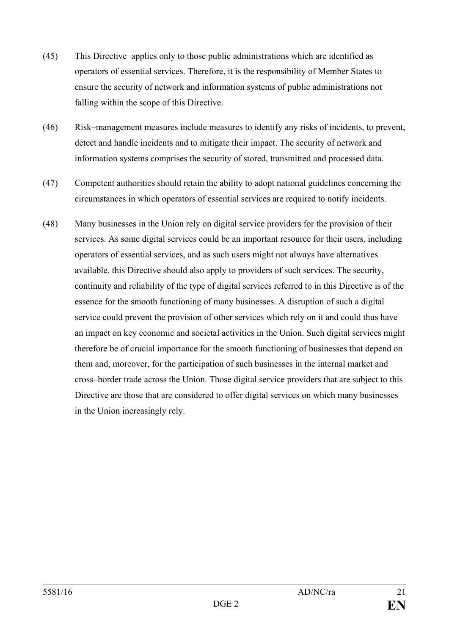- (45) This Directive applies only to those public administrations which are identified as operators of essential services. Therefore, it is the responsibility of Member States to ensure the security of network and information systems of public administrations not falling within the scope of this Directive.
- (46) Risk–management measures include measures to identify any risks of incidents, to prevent, detect and handle incidents and to mitigate their impact. The security of network and information systems comprises the security of stored, transmitted and processed data.
- (47) Competent authorities should retain the ability to adopt national guidelines concerning the circumstances in which operators of essential services are required to notify incidents.
- (48) Many businesses in the Union rely on digital service providers for the provision of their services. As some digital services could be an important resource for their users, including operators of essential services, and as such users might not always have alternatives available, this Directive should also apply to providers of such services. The security, continuity and reliability of the type of digital services referred to in this Directive is of the essence for the smooth functioning of many businesses. A disruption of such a digital service could prevent the provision of other services which rely on it and could thus have an impact on key economic and societal activities in the Union. Such digital services might therefore be of crucial importance for the smooth functioning of businesses that depend on them and, moreover, for the participation of such businesses in the internal market and cross–border trade across the Union. Those digital service providers that are subject to this Directive are those that are considered to offer digital services on which many businesses in the Union increasingly rely.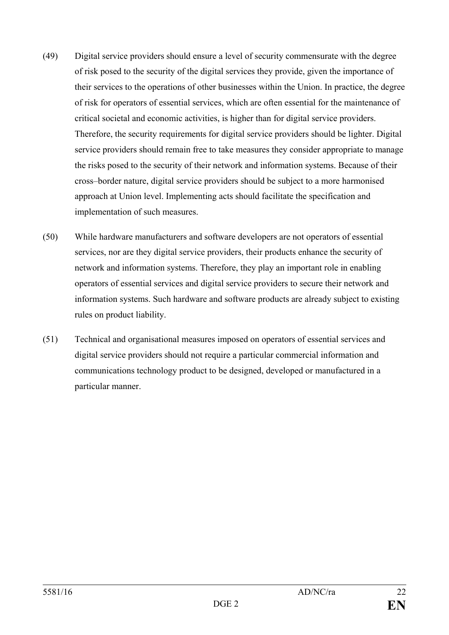- (49) Digital service providers should ensure a level of security commensurate with the degree of risk posed to the security of the digital services they provide, given the importance of their services to the operations of other businesses within the Union. In practice, the degree of risk for operators of essential services, which are often essential for the maintenance of critical societal and economic activities, is higher than for digital service providers. Therefore, the security requirements for digital service providers should be lighter. Digital service providers should remain free to take measures they consider appropriate to manage the risks posed to the security of their network and information systems. Because of their cross–border nature, digital service providers should be subject to a more harmonised approach at Union level. Implementing acts should facilitate the specification and implementation of such measures.
- (50) While hardware manufacturers and software developers are not operators of essential services, nor are they digital service providers, their products enhance the security of network and information systems. Therefore, they play an important role in enabling operators of essential services and digital service providers to secure their network and information systems. Such hardware and software products are already subject to existing rules on product liability.
- (51) Technical and organisational measures imposed on operators of essential services and digital service providers should not require a particular commercial information and communications technology product to be designed, developed or manufactured in a particular manner.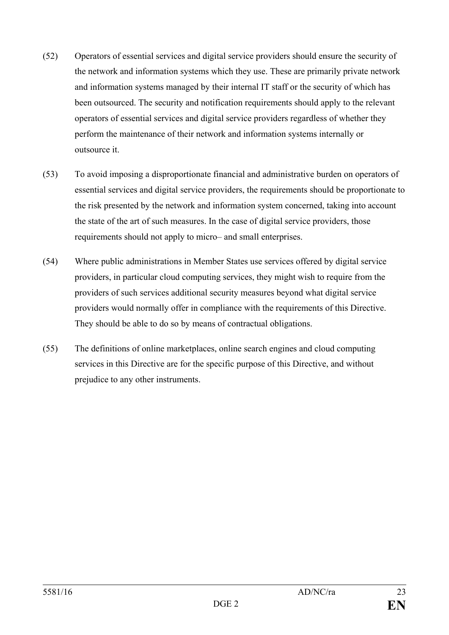- (52) Operators of essential services and digital service providers should ensure the security of the network and information systems which they use. These are primarily private network and information systems managed by their internal IT staff or the security of which has been outsourced. The security and notification requirements should apply to the relevant operators of essential services and digital service providers regardless of whether they perform the maintenance of their network and information systems internally or outsource it.
- (53) To avoid imposing a disproportionate financial and administrative burden on operators of essential services and digital service providers, the requirements should be proportionate to the risk presented by the network and information system concerned, taking into account the state of the art of such measures. In the case of digital service providers, those requirements should not apply to micro– and small enterprises.
- (54) Where public administrations in Member States use services offered by digital service providers, in particular cloud computing services, they might wish to require from the providers of such services additional security measures beyond what digital service providers would normally offer in compliance with the requirements of this Directive. They should be able to do so by means of contractual obligations.
- (55) The definitions of online marketplaces, online search engines and cloud computing services in this Directive are for the specific purpose of this Directive, and without prejudice to any other instruments.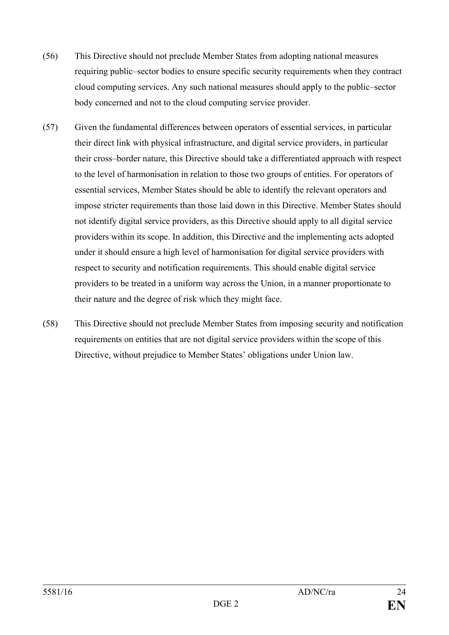- (56) This Directive should not preclude Member States from adopting national measures requiring public–sector bodies to ensure specific security requirements when they contract cloud computing services. Any such national measures should apply to the public–sector body concerned and not to the cloud computing service provider.
- (57) Given the fundamental differences between operators of essential services, in particular their direct link with physical infrastructure, and digital service providers, in particular their cross–border nature, this Directive should take a differentiated approach with respect to the level of harmonisation in relation to those two groups of entities. For operators of essential services, Member States should be able to identify the relevant operators and impose stricter requirements than those laid down in this Directive. Member States should not identify digital service providers, as this Directive should apply to all digital service providers within its scope. In addition, this Directive and the implementing acts adopted under it should ensure a high level of harmonisation for digital service providers with respect to security and notification requirements. This should enable digital service providers to be treated in a uniform way across the Union, in a manner proportionate to their nature and the degree of risk which they might face.
- (58) This Directive should not preclude Member States from imposing security and notification requirements on entities that are not digital service providers within the scope of this Directive, without prejudice to Member States' obligations under Union law.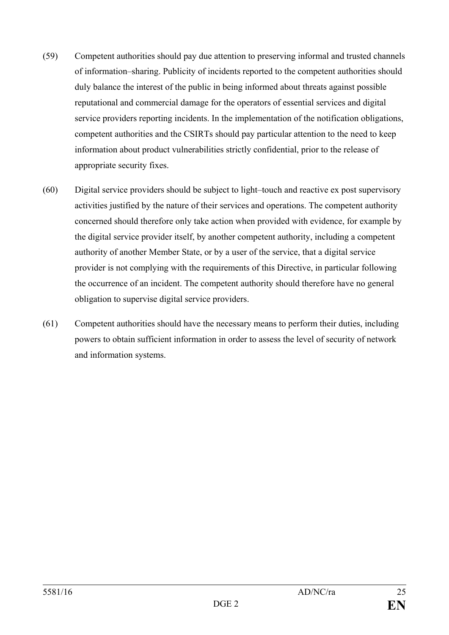- (59) Competent authorities should pay due attention to preserving informal and trusted channels of information–sharing. Publicity of incidents reported to the competent authorities should duly balance the interest of the public in being informed about threats against possible reputational and commercial damage for the operators of essential services and digital service providers reporting incidents. In the implementation of the notification obligations, competent authorities and the CSIRTs should pay particular attention to the need to keep information about product vulnerabilities strictly confidential, prior to the release of appropriate security fixes.
- (60) Digital service providers should be subject to light–touch and reactive ex post supervisory activities justified by the nature of their services and operations. The competent authority concerned should therefore only take action when provided with evidence, for example by the digital service provider itself, by another competent authority, including a competent authority of another Member State, or by a user of the service, that a digital service provider is not complying with the requirements of this Directive, in particular following the occurrence of an incident. The competent authority should therefore have no general obligation to supervise digital service providers.
- (61) Competent authorities should have the necessary means to perform their duties, including powers to obtain sufficient information in order to assess the level of security of network and information systems.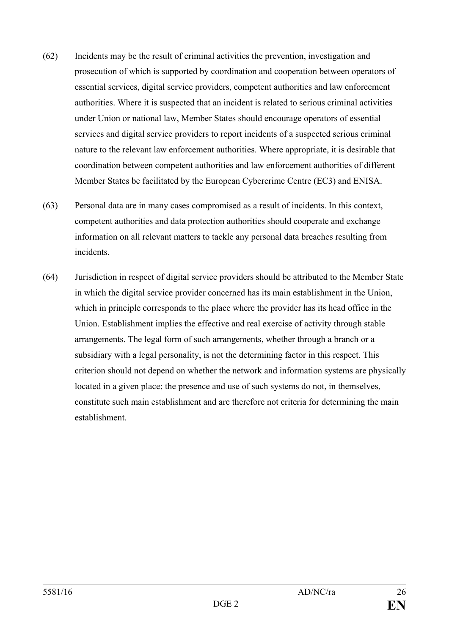- (62) Incidents may be the result of criminal activities the prevention, investigation and prosecution of which is supported by coordination and cooperation between operators of essential services, digital service providers, competent authorities and law enforcement authorities. Where it is suspected that an incident is related to serious criminal activities under Union or national law, Member States should encourage operators of essential services and digital service providers to report incidents of a suspected serious criminal nature to the relevant law enforcement authorities. Where appropriate, it is desirable that coordination between competent authorities and law enforcement authorities of different Member States be facilitated by the European Cybercrime Centre (EC3) and ENISA.
- (63) Personal data are in many cases compromised as a result of incidents. In this context, competent authorities and data protection authorities should cooperate and exchange information on all relevant matters to tackle any personal data breaches resulting from incidents.
- (64) Jurisdiction in respect of digital service providers should be attributed to the Member State in which the digital service provider concerned has its main establishment in the Union, which in principle corresponds to the place where the provider has its head office in the Union. Establishment implies the effective and real exercise of activity through stable arrangements. The legal form of such arrangements, whether through a branch or a subsidiary with a legal personality, is not the determining factor in this respect. This criterion should not depend on whether the network and information systems are physically located in a given place; the presence and use of such systems do not, in themselves, constitute such main establishment and are therefore not criteria for determining the main establishment.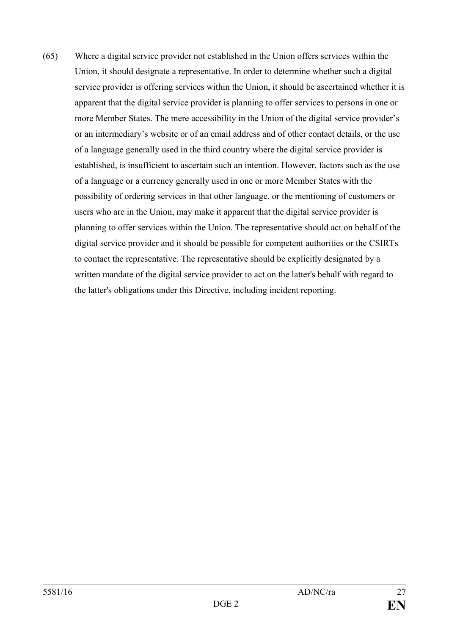(65) Where a digital service provider not established in the Union offers services within the Union, it should designate a representative. In order to determine whether such a digital service provider is offering services within the Union, it should be ascertained whether it is apparent that the digital service provider is planning to offer services to persons in one or more Member States. The mere accessibility in the Union of the digital service provider's or an intermediary's website or of an email address and of other contact details, or the use of a language generally used in the third country where the digital service provider is established, is insufficient to ascertain such an intention. However, factors such as the use of a language or a currency generally used in one or more Member States with the possibility of ordering services in that other language, or the mentioning of customers or users who are in the Union, may make it apparent that the digital service provider is planning to offer services within the Union. The representative should act on behalf of the digital service provider and it should be possible for competent authorities or the CSIRTs to contact the representative. The representative should be explicitly designated by a written mandate of the digital service provider to act on the latter's behalf with regard to the latter's obligations under this Directive, including incident reporting.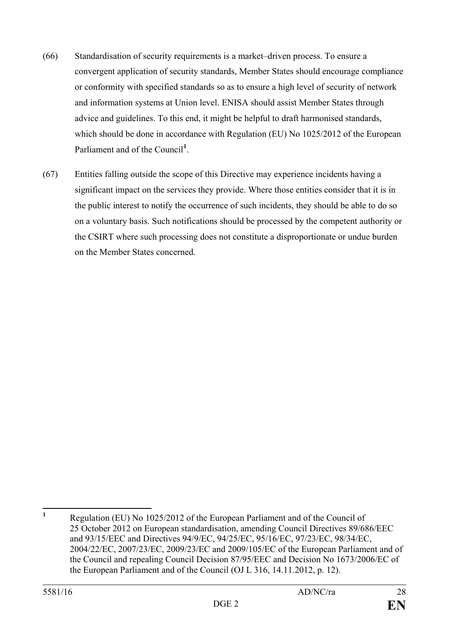- (66) Standardisation of security requirements is a market–driven process. To ensure a convergent application of security standards, Member States should encourage compliance or conformity with specified standards so as to ensure a high level of security of network and information systems at Union level. ENISA should assist Member States through advice and guidelines. To this end, it might be helpful to draft harmonised standards, which should be done in accordance with Regulation (EU) No 1025/2012 of the European Parliament and of the Council<sup>[1](#page-28-0)</sup>.
- (67) Entities falling outside the scope of this Directive may experience incidents having a significant impact on the services they provide. Where those entities consider that it is in the public interest to notify the occurrence of such incidents, they should be able to do so on a voluntary basis. Such notifications should be processed by the competent authority or the CSIRT where such processing does not constitute a disproportionate or undue burden on the Member States concerned.

<span id="page-28-0"></span>**<sup>1</sup>** Regulation (EU) No 1025/2012 of the European Parliament and of the Council of 25 October 2012 on European standardisation, amending Council Directives 89/686/EEC and 93/15/EEC and Directives 94/9/EC, 94/25/EC, 95/16/EC, 97/23/EC, 98/34/EC, 2004/22/EC, 2007/23/EC, 2009/23/EC and 2009/105/EC of the European Parliament and of the Council and repealing Council Decision 87/95/EEC and Decision No 1673/2006/EC of the European Parliament and of the Council (OJ L 316, 14.11.2012, p. 12).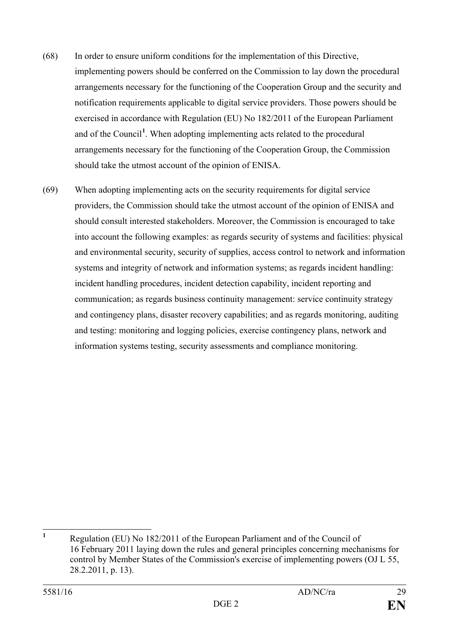- (68) In order to ensure uniform conditions for the implementation of this Directive, implementing powers should be conferred on the Commission to lay down the procedural arrangements necessary for the functioning of the Cooperation Group and the security and notification requirements applicable to digital service providers. Those powers should be exercised in accordance with Regulation (EU) No 182/2011 of the European Parliament and of the Council**[1](#page-29-0)** . When adopting implementing acts related to the procedural arrangements necessary for the functioning of the Cooperation Group, the Commission should take the utmost account of the opinion of ENISA.
- (69) When adopting implementing acts on the security requirements for digital service providers, the Commission should take the utmost account of the opinion of ENISA and should consult interested stakeholders. Moreover, the Commission is encouraged to take into account the following examples: as regards security of systems and facilities: physical and environmental security, security of supplies, access control to network and information systems and integrity of network and information systems; as regards incident handling: incident handling procedures, incident detection capability, incident reporting and communication; as regards business continuity management: service continuity strategy and contingency plans, disaster recovery capabilities; and as regards monitoring, auditing and testing: monitoring and logging policies, exercise contingency plans, network and information systems testing, security assessments and compliance monitoring.

<span id="page-29-0"></span>**<sup>1</sup>** Regulation (EU) No 182/2011 of the European Parliament and of the Council of 16 February 2011 laying down the rules and general principles concerning mechanisms for control by Member States of the Commission's exercise of implementing powers (OJ L 55, 28.2.2011, p. 13).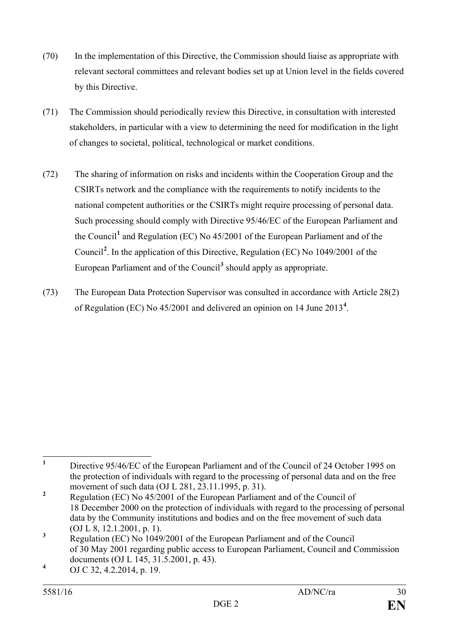- (70) In the implementation of this Directive, the Commission should liaise as appropriate with relevant sectoral committees and relevant bodies set up at Union level in the fields covered by this Directive.
- (71) The Commission should periodically review this Directive, in consultation with interested stakeholders, in particular with a view to determining the need for modification in the light of changes to societal, political, technological or market conditions.
- (72) The sharing of information on risks and incidents within the Cooperation Group and the CSIRTs network and the compliance with the requirements to notify incidents to the national competent authorities or the CSIRTs might require processing of personal data. Such processing should comply with Directive 95/46/EC of the European Parliament and the Council**[1](#page-30-0)** and Regulation (EC) No 45/2001 of the European Parliament and of the Council**[2](#page-30-1)** . In the application of this Directive, Regulation (EC) No 1049/2001 of the European Parliament and of the Council**[3](#page-30-2)** should apply as appropriate.
- (73) The European Data Protection Supervisor was consulted in accordance with Article 28(2) of Regulation (EC) No 45/2001 and delivered an opinion on 14 June 2013**[4](#page-30-3)** .

<span id="page-30-0"></span><sup>&</sup>lt;sup>1</sup> Directive 95/46/EC of the European Parliament and of the Council of 24 October 1995 on the protection of individuals with regard to the processing of personal data and on the free

<span id="page-30-1"></span>movement of such data (OJ L 281, 23.11.1995, p. 31).<br><sup>2</sup> Regulation (EC) No 45/2001 of the European Parliament and of the Council of 18 December 2000 on the protection of individuals with regard to the processing of personal data by the Community institutions and bodies and on the free movement of such data

<span id="page-30-2"></span><sup>(</sup>OJ L 8, 12.1.2001, p. 1). **<sup>3</sup>** Regulation (EC) No 1049/2001 of the European Parliament and of the Council of 30 May 2001 regarding public access to European Parliament, Council and Commission documents (OJ L 145, 31.5.2001, p. 43).

<span id="page-30-3"></span>**<sup>4</sup>** OJ C 32, 4.2.2014, p. 19.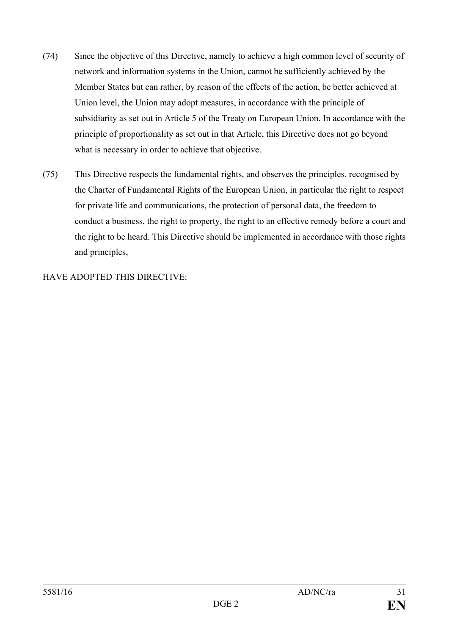- (74) Since the objective of this Directive, namely to achieve a high common level of security of network and information systems in the Union, cannot be sufficiently achieved by the Member States but can rather, by reason of the effects of the action, be better achieved at Union level, the Union may adopt measures, in accordance with the principle of subsidiarity as set out in Article 5 of the Treaty on European Union. In accordance with the principle of proportionality as set out in that Article, this Directive does not go beyond what is necessary in order to achieve that objective.
- (75) This Directive respects the fundamental rights, and observes the principles, recognised by the Charter of Fundamental Rights of the European Union, in particular the right to respect for private life and communications, the protection of personal data, the freedom to conduct a business, the right to property, the right to an effective remedy before a court and the right to be heard. This Directive should be implemented in accordance with those rights and principles,

## HAVE ADOPTED THIS DIRECTIVE: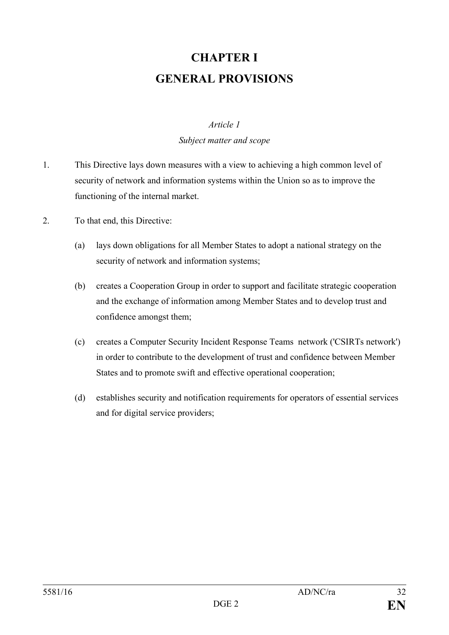# **CHAPTER I GENERAL PROVISIONS**

#### *Article 1*

#### *Subject matter and scope*

- 1. This Directive lays down measures with a view to achieving a high common level of security of network and information systems within the Union so as to improve the functioning of the internal market.
- 2. To that end, this Directive:
	- (a) lays down obligations for all Member States to adopt a national strategy on the security of network and information systems;
	- (b) creates a Cooperation Group in order to support and facilitate strategic cooperation and the exchange of information among Member States and to develop trust and confidence amongst them;
	- (c) creates a Computer Security Incident Response Teams network ('CSIRTs network') in order to contribute to the development of trust and confidence between Member States and to promote swift and effective operational cooperation;
	- (d) establishes security and notification requirements for operators of essential services and for digital service providers;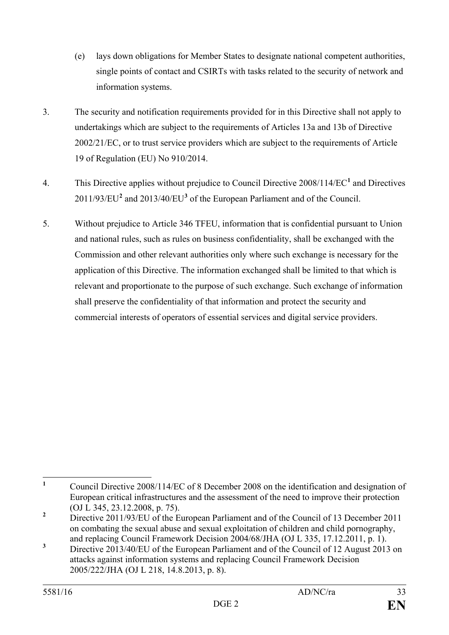- (e) lays down obligations for Member States to designate national competent authorities, single points of contact and CSIRTs with tasks related to the security of network and information systems.
- 3. The security and notification requirements provided for in this Directive shall not apply to undertakings which are subject to the requirements of Articles 13a and 13b of Directive 2002/21/EC, or to trust service providers which are subject to the requirements of Article 19 of Regulation (EU) No 910/2014.
- 4. This Directive applies without prejudice to Council Directive 2008/114/EC**[1](#page-33-0)** and Directives 2011/93/EU**[2](#page-33-1)** and 2013/40/EU**[3](#page-33-2)** of the European Parliament and of the Council.
- 5. Without prejudice to Article 346 TFEU, information that is confidential pursuant to Union and national rules, such as rules on business confidentiality, shall be exchanged with the Commission and other relevant authorities only where such exchange is necessary for the application of this Directive. The information exchanged shall be limited to that which is relevant and proportionate to the purpose of such exchange. Such exchange of information shall preserve the confidentiality of that information and protect the security and commercial interests of operators of essential services and digital service providers.

<span id="page-33-0"></span><sup>&</sup>lt;sup>1</sup> Council Directive 2008/114/EC of 8 December 2008 on the identification and designation of European critical infrastructures and the assessment of the need to improve their protection (OJ L 345, 23.12.2008, p. 75).

<span id="page-33-1"></span><sup>&</sup>lt;sup>2</sup> Directive 2011/93/EU of the European Parliament and of the Council of 13 December 2011 on combating the sexual abuse and sexual exploitation of children and child pornography,

<span id="page-33-2"></span>and replacing Council Framework Decision 2004/68/JHA (OJ L 335, 17.12.2011, p. 1).<br><sup>3</sup> Directive 2013/40/EU of the European Parliament and of the Council of 12 August 2013 on attacks against information systems and replacing Council Framework Decision 2005/222/JHA (OJ L 218, 14.8.2013, p. 8).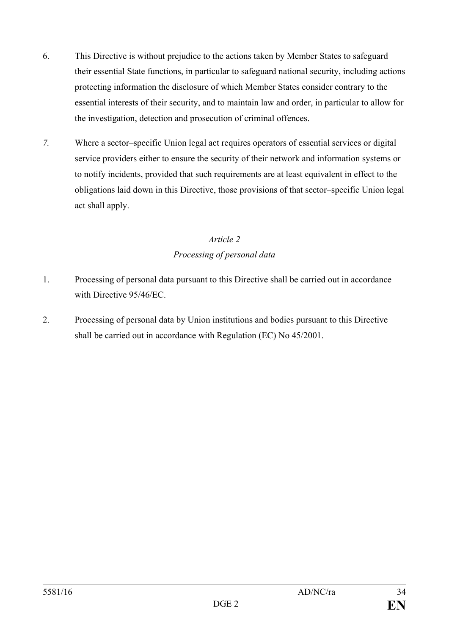- 6. This Directive is without prejudice to the actions taken by Member States to safeguard their essential State functions, in particular to safeguard national security, including actions protecting information the disclosure of which Member States consider contrary to the essential interests of their security, and to maintain law and order, in particular to allow for the investigation, detection and prosecution of criminal offences.
- *7.* Where a sector–specific Union legal act requires operators of essential services or digital service providers either to ensure the security of their network and information systems or to notify incidents, provided that such requirements are at least equivalent in effect to the obligations laid down in this Directive, those provisions of that sector–specific Union legal act shall apply.

# *Article 2 Processing of personal data*

- 1. Processing of personal data pursuant to this Directive shall be carried out in accordance with Directive 95/46/EC.
- 2. Processing of personal data by Union institutions and bodies pursuant to this Directive shall be carried out in accordance with Regulation (EC) No 45/2001.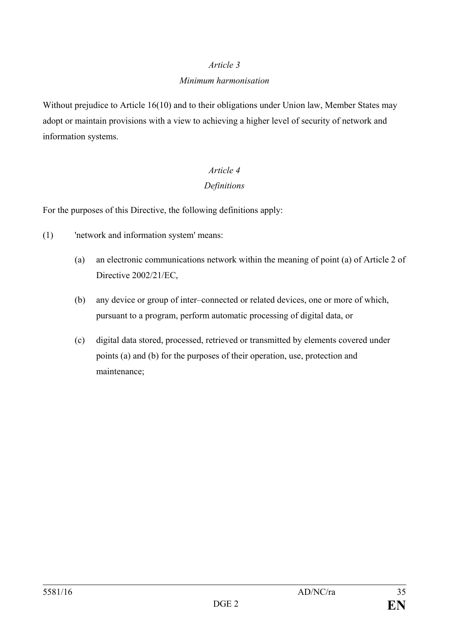## *Article 3*

## *Minimum harmonisation*

Without prejudice to Article 16(10) and to their obligations under Union law, Member States may adopt or maintain provisions with a view to achieving a higher level of security of network and information systems.

# *Article 4 Definitions*

For the purposes of this Directive, the following definitions apply:

- (1) 'network and information system' means:
	- (a) an electronic communications network within the meaning of point (a) of Article 2 of Directive 2002/21/EC,
	- (b) any device or group of inter–connected or related devices, one or more of which, pursuant to a program, perform automatic processing of digital data, or
	- (c) digital data stored, processed, retrieved or transmitted by elements covered under points (a) and (b) for the purposes of their operation, use, protection and maintenance;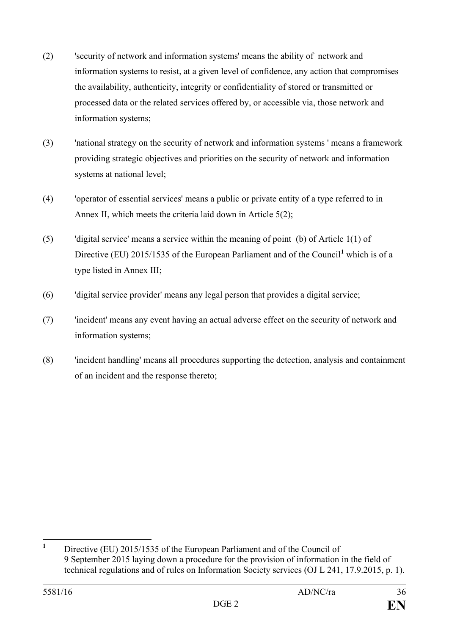- (2) 'security of network and information systems' means the ability of network and information systems to resist, at a given level of confidence, any action that compromises the availability, authenticity, integrity or confidentiality of stored or transmitted or processed data or the related services offered by, or accessible via, those network and information systems;
- (3) 'national strategy on the security of network and information systems ' means a framework providing strategic objectives and priorities on the security of network and information systems at national level;
- (4) 'operator of essential services' means a public or private entity of a type referred to in Annex II, which meets the criteria laid down in Article 5(2);
- (5) 'digital service' means a service within the meaning of point (b) of Article 1(1) of Directive (EU) 20[1](#page-36-0)5/1535 of the European Parliament and of the Council<sup>1</sup> which is of a type listed in Annex III;
- (6) 'digital service provider' means any legal person that provides a digital service;
- (7) 'incident' means any event having an actual adverse effect on the security of network and information systems;
- (8) 'incident handling' means all procedures supporting the detection, analysis and containment of an incident and the response thereto;

<span id="page-36-0"></span>**<sup>1</sup>** Directive (EU) 2015/1535 of the European Parliament and of the Council of 9 September 2015 laying down a procedure for the provision of information in the field of technical regulations and of rules on Information Society services (OJ L 241, 17.9.2015, p. 1).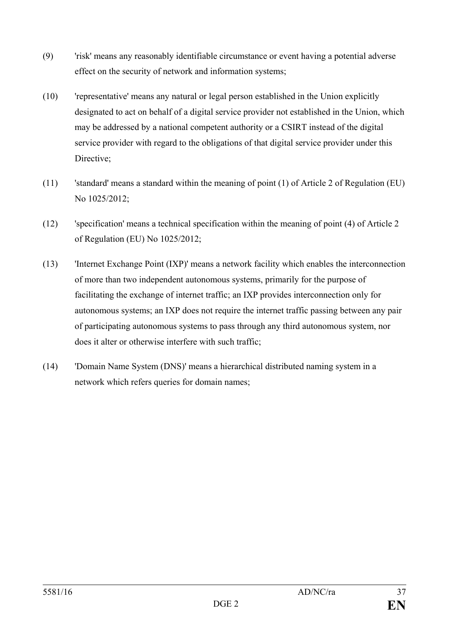- (9) 'risk' means any reasonably identifiable circumstance or event having a potential adverse effect on the security of network and information systems;
- (10) 'representative' means any natural or legal person established in the Union explicitly designated to act on behalf of a digital service provider not established in the Union, which may be addressed by a national competent authority or a CSIRT instead of the digital service provider with regard to the obligations of that digital service provider under this Directive;
- (11) 'standard' means a standard within the meaning of point (1) of Article 2 of Regulation (EU) No 1025/2012;
- (12) 'specification' means a technical specification within the meaning of point (4) of Article 2 of Regulation (EU) No 1025/2012;
- (13) 'Internet Exchange Point (IXP)' means a network facility which enables the interconnection of more than two independent autonomous systems, primarily for the purpose of facilitating the exchange of internet traffic; an IXP provides interconnection only for autonomous systems; an IXP does not require the internet traffic passing between any pair of participating autonomous systems to pass through any third autonomous system, nor does it alter or otherwise interfere with such traffic;
- (14) 'Domain Name System (DNS)' means a hierarchical distributed naming system in a network which refers queries for domain names;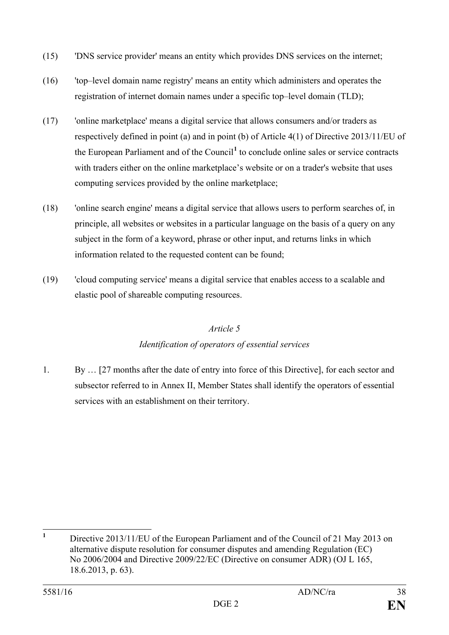- (15) 'DNS service provider' means an entity which provides DNS services on the internet;
- (16) 'top–level domain name registry' means an entity which administers and operates the registration of internet domain names under a specific top–level domain (TLD);
- (17) 'online marketplace' means a digital service that allows consumers and/or traders as respectively defined in point (a) and in point (b) of Article 4(1) of Directive 2013/11/EU of the European Parliament and of the Council**[1](#page-38-0)** to conclude online sales or service contracts with traders either on the online marketplace's website or on a trader's website that uses computing services provided by the online marketplace;
- (18) 'online search engine' means a digital service that allows users to perform searches of, in principle, all websites or websites in a particular language on the basis of a query on any subject in the form of a keyword, phrase or other input, and returns links in which information related to the requested content can be found;
- (19) 'cloud computing service' means a digital service that enables access to a scalable and elastic pool of shareable computing resources.

#### *Article 5*

#### *Identification of operators of essential services*

1. By … [27 months after the date of entry into force of this Directive], for each sector and subsector referred to in Annex II, Member States shall identify the operators of essential services with an establishment on their territory.

<span id="page-38-0"></span><sup>&</sup>lt;sup>1</sup> Directive 2013/11/EU of the European Parliament and of the Council of 21 May 2013 on alternative dispute resolution for consumer disputes and amending Regulation (EC) No 2006/2004 and Directive 2009/22/EC (Directive on consumer ADR) (OJ L 165, 18.6.2013, p. 63).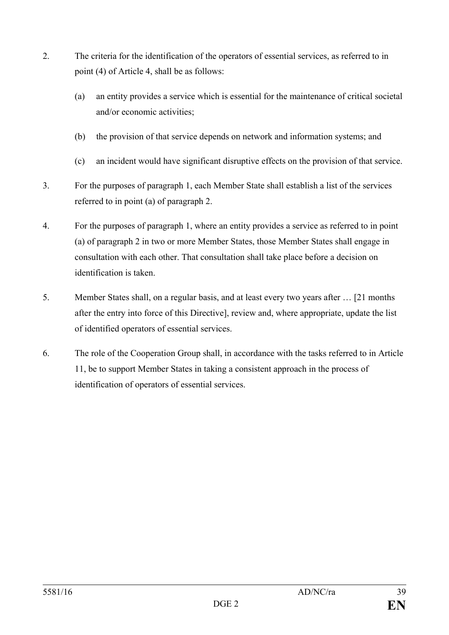- 2. The criteria for the identification of the operators of essential services, as referred to in point (4) of Article 4, shall be as follows:
	- (a) an entity provides a service which is essential for the maintenance of critical societal and/or economic activities;
	- (b) the provision of that service depends on network and information systems; and
	- (c) an incident would have significant disruptive effects on the provision of that service.
- 3. For the purposes of paragraph 1, each Member State shall establish a list of the services referred to in point (a) of paragraph 2.
- 4. For the purposes of paragraph 1, where an entity provides a service as referred to in point (a) of paragraph 2 in two or more Member States, those Member States shall engage in consultation with each other. That consultation shall take place before a decision on identification is taken.
- 5. Member States shall, on a regular basis, and at least every two years after … [21 months after the entry into force of this Directive], review and, where appropriate, update the list of identified operators of essential services.
- 6. The role of the Cooperation Group shall, in accordance with the tasks referred to in Article 11, be to support Member States in taking a consistent approach in the process of identification of operators of essential services.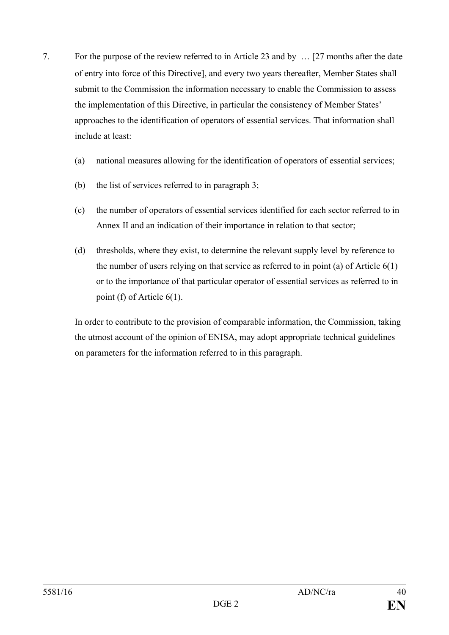- 7. For the purpose of the review referred to in Article 23 and by … [27 months after the date of entry into force of this Directive], and every two years thereafter, Member States shall submit to the Commission the information necessary to enable the Commission to assess the implementation of this Directive, in particular the consistency of Member States' approaches to the identification of operators of essential services. That information shall include at least:
	- (a) national measures allowing for the identification of operators of essential services;
	- (b) the list of services referred to in paragraph 3;
	- (c) the number of operators of essential services identified for each sector referred to in Annex II and an indication of their importance in relation to that sector;
	- (d) thresholds, where they exist, to determine the relevant supply level by reference to the number of users relying on that service as referred to in point (a) of Article 6(1) or to the importance of that particular operator of essential services as referred to in point (f) of Article 6(1).

In order to contribute to the provision of comparable information, the Commission, taking the utmost account of the opinion of ENISA, may adopt appropriate technical guidelines on parameters for the information referred to in this paragraph.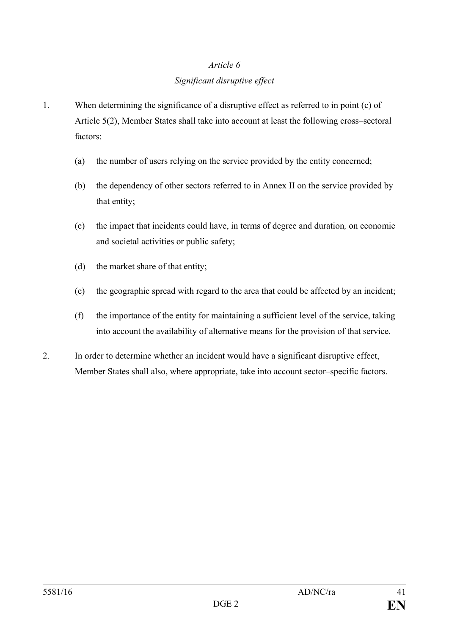#### *Article 6*

#### *Significant disruptive effect*

- 1. When determining the significance of a disruptive effect as referred to in point (c) of Article 5(2), Member States shall take into account at least the following cross–sectoral factors:
	- (a) the number of users relying on the service provided by the entity concerned;
	- (b) the dependency of other sectors referred to in Annex II on the service provided by that entity;
	- (c) the impact that incidents could have, in terms of degree and duration*,* on economic and societal activities or public safety;
	- (d) the market share of that entity;
	- (e) the geographic spread with regard to the area that could be affected by an incident;
	- (f) the importance of the entity for maintaining a sufficient level of the service, taking into account the availability of alternative means for the provision of that service.
- 2. In order to determine whether an incident would have a significant disruptive effect, Member States shall also, where appropriate, take into account sector–specific factors.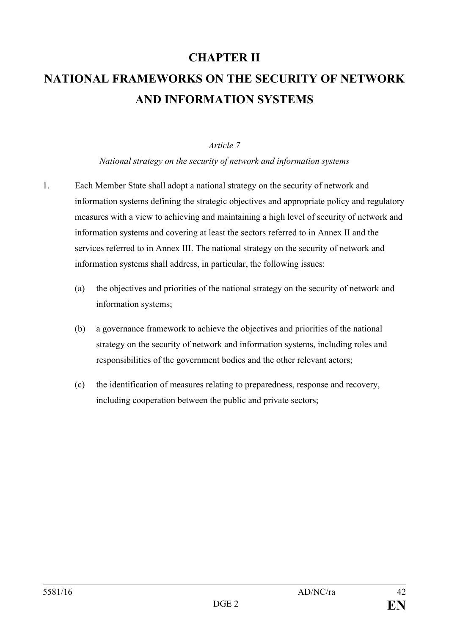# **CHAPTER II NATIONAL FRAMEWORKS ON THE SECURITY OF NETWORK AND INFORMATION SYSTEMS**

#### *Article 7*

#### *National strategy on the security of network and information systems*

- 1. Each Member State shall adopt a national strategy on the security of network and information systems defining the strategic objectives and appropriate policy and regulatory measures with a view to achieving and maintaining a high level of security of network and information systems and covering at least the sectors referred to in Annex II and the services referred to in Annex III. The national strategy on the security of network and information systems shall address, in particular, the following issues:
	- (a) the objectives and priorities of the national strategy on the security of network and information systems;
	- (b) a governance framework to achieve the objectives and priorities of the national strategy on the security of network and information systems, including roles and responsibilities of the government bodies and the other relevant actors;
	- (c) the identification of measures relating to preparedness, response and recovery, including cooperation between the public and private sectors;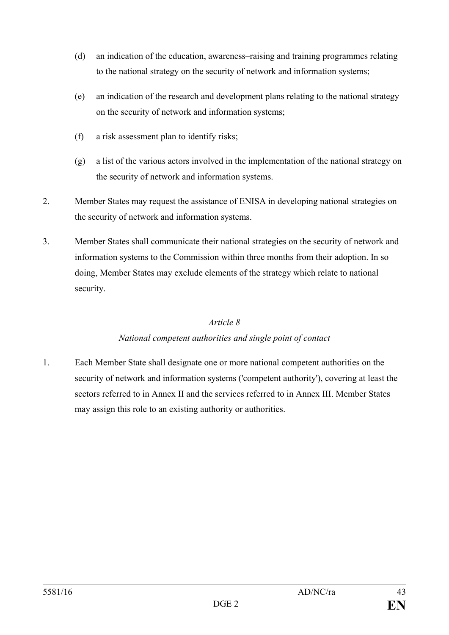- (d) an indication of the education, awareness–raising and training programmes relating to the national strategy on the security of network and information systems;
- (e) an indication of the research and development plans relating to the national strategy on the security of network and information systems;
- (f) a risk assessment plan to identify risks;
- (g) a list of the various actors involved in the implementation of the national strategy on the security of network and information systems.
- 2. Member States may request the assistance of ENISA in developing national strategies on the security of network and information systems.
- 3. Member States shall communicate their national strategies on the security of network and information systems to the Commission within three months from their adoption. In so doing, Member States may exclude elements of the strategy which relate to national security.

#### *Article 8*

#### *National competent authorities and single point of contact*

1. Each Member State shall designate one or more national competent authorities on the security of network and information systems ('competent authority'), covering at least the sectors referred to in Annex II and the services referred to in Annex III. Member States may assign this role to an existing authority or authorities.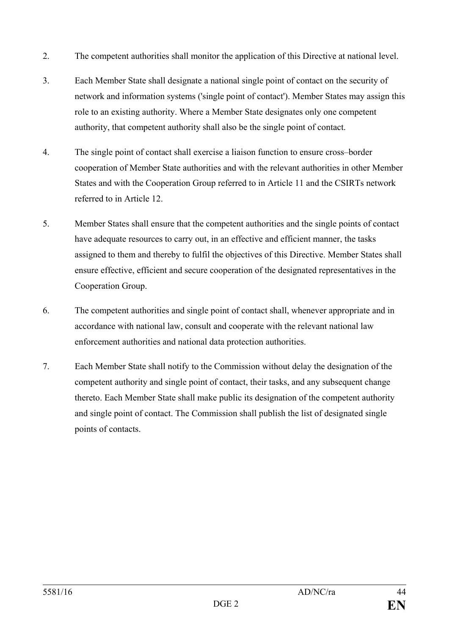- 2. The competent authorities shall monitor the application of this Directive at national level.
- 3. Each Member State shall designate a national single point of contact on the security of network and information systems ('single point of contact'). Member States may assign this role to an existing authority. Where a Member State designates only one competent authority, that competent authority shall also be the single point of contact.
- 4. The single point of contact shall exercise a liaison function to ensure cross–border cooperation of Member State authorities and with the relevant authorities in other Member States and with the Cooperation Group referred to in Article 11 and the CSIRTs network referred to in Article 12.
- 5. Member States shall ensure that the competent authorities and the single points of contact have adequate resources to carry out, in an effective and efficient manner, the tasks assigned to them and thereby to fulfil the objectives of this Directive. Member States shall ensure effective, efficient and secure cooperation of the designated representatives in the Cooperation Group.
- 6. The competent authorities and single point of contact shall, whenever appropriate and in accordance with national law, consult and cooperate with the relevant national law enforcement authorities and national data protection authorities.
- 7. Each Member State shall notify to the Commission without delay the designation of the competent authority and single point of contact, their tasks, and any subsequent change thereto. Each Member State shall make public its designation of the competent authority and single point of contact. The Commission shall publish the list of designated single points of contacts.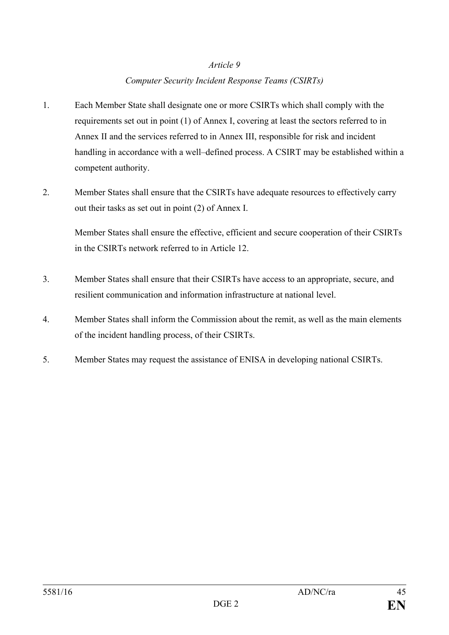#### *Article 9*

#### *Computer Security Incident Response Teams (CSIRTs)*

- 1. Each Member State shall designate one or more CSIRTs which shall comply with the requirements set out in point (1) of Annex I, covering at least the sectors referred to in Annex II and the services referred to in Annex III, responsible for risk and incident handling in accordance with a well–defined process. A CSIRT may be established within a competent authority.
- 2. Member States shall ensure that the CSIRTs have adequate resources to effectively carry out their tasks as set out in point (2) of Annex I.

Member States shall ensure the effective, efficient and secure cooperation of their CSIRTs in the CSIRTs network referred to in Article 12.

- 3. Member States shall ensure that their CSIRTs have access to an appropriate, secure, and resilient communication and information infrastructure at national level.
- 4. Member States shall inform the Commission about the remit, as well as the main elements of the incident handling process, of their CSIRTs.
- 5. Member States may request the assistance of ENISA in developing national CSIRTs.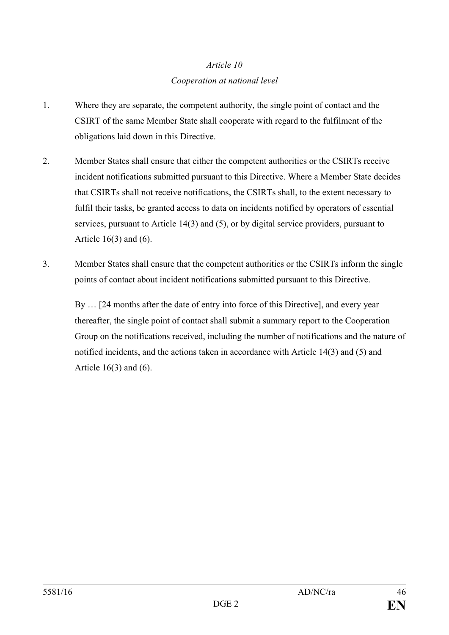## *Article 10 Cooperation at national level*

- 1. Where they are separate, the competent authority, the single point of contact and the CSIRT of the same Member State shall cooperate with regard to the fulfilment of the obligations laid down in this Directive.
- 2. Member States shall ensure that either the competent authorities or the CSIRTs receive incident notifications submitted pursuant to this Directive. Where a Member State decides that CSIRTs shall not receive notifications, the CSIRTs shall, to the extent necessary to fulfil their tasks, be granted access to data on incidents notified by operators of essential services, pursuant to Article 14(3) and (5), or by digital service providers, pursuant to Article 16(3) and (6).
- 3. Member States shall ensure that the competent authorities or the CSIRTs inform the single points of contact about incident notifications submitted pursuant to this Directive.

By … [24 months after the date of entry into force of this Directive], and every year thereafter, the single point of contact shall submit a summary report to the Cooperation Group on the notifications received, including the number of notifications and the nature of notified incidents, and the actions taken in accordance with Article 14(3) and (5) and Article 16(3) and (6).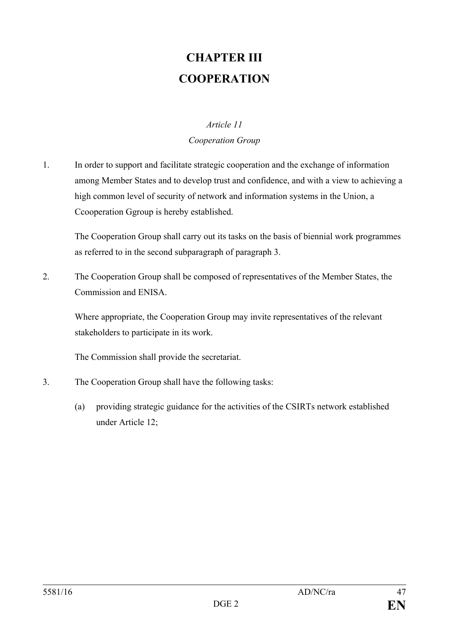# **CHAPTER III COOPERATION**

#### *Article 11*

#### *Cooperation Group*

1. In order to support and facilitate strategic cooperation and the exchange of information among Member States and to develop trust and confidence, and with a view to achieving a high common level of security of network and information systems in the Union, a Ccooperation Ggroup is hereby established.

The Cooperation Group shall carry out its tasks on the basis of biennial work programmes as referred to in the second subparagraph of paragraph 3.

2. The Cooperation Group shall be composed of representatives of the Member States, the Commission and ENISA.

Where appropriate, the Cooperation Group may invite representatives of the relevant stakeholders to participate in its work.

The Commission shall provide the secretariat.

- 3. The Cooperation Group shall have the following tasks:
	- (a) providing strategic guidance for the activities of the CSIRTs network established under Article 12;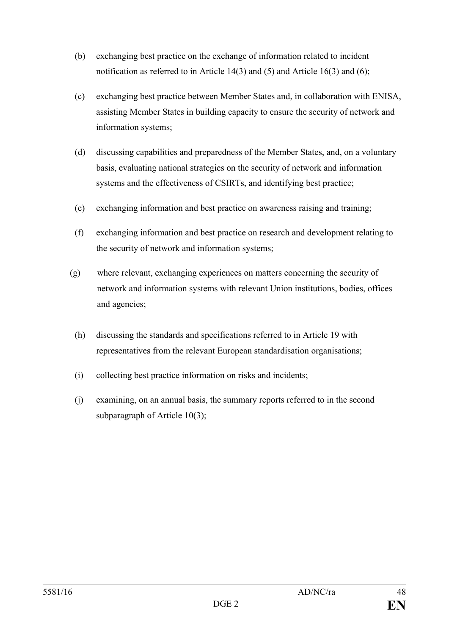- (b) exchanging best practice on the exchange of information related to incident notification as referred to in Article 14(3) and (5) and Article 16(3) and (6);
- (c) exchanging best practice between Member States and, in collaboration with ENISA, assisting Member States in building capacity to ensure the security of network and information systems;
- (d) discussing capabilities and preparedness of the Member States, and, on a voluntary basis, evaluating national strategies on the security of network and information systems and the effectiveness of CSIRTs, and identifying best practice;
- (e) exchanging information and best practice on awareness raising and training;
- (f) exchanging information and best practice on research and development relating to the security of network and information systems;
- (g) where relevant, exchanging experiences on matters concerning the security of network and information systems with relevant Union institutions, bodies, offices and agencies;
	- (h) discussing the standards and specifications referred to in Article 19 with representatives from the relevant European standardisation organisations;
	- (i) collecting best practice information on risks and incidents;
	- (j) examining, on an annual basis, the summary reports referred to in the second subparagraph of Article 10(3);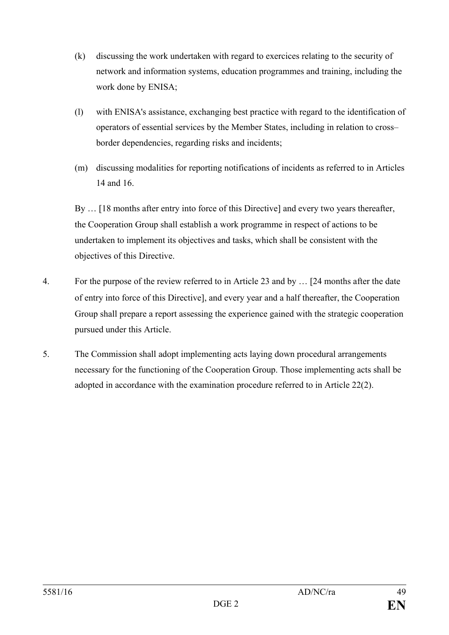- (k) discussing the work undertaken with regard to exercices relating to the security of network and information systems, education programmes and training, including the work done by ENISA;
- (l) with ENISA's assistance, exchanging best practice with regard to the identification of operators of essential services by the Member States, including in relation to cross– border dependencies, regarding risks and incidents;
- (m) discussing modalities for reporting notifications of incidents as referred to in Articles 14 and 16.

By ... [18] months after entry into force of this Directive] and every two years thereafter, the Cooperation Group shall establish a work programme in respect of actions to be undertaken to implement its objectives and tasks, which shall be consistent with the objectives of this Directive.

- 4. For the purpose of the review referred to in Article 23 and by … [24 months after the date of entry into force of this Directive], and every year and a half thereafter, the Cooperation Group shall prepare a report assessing the experience gained with the strategic cooperation pursued under this Article.
- 5. The Commission shall adopt implementing acts laying down procedural arrangements necessary for the functioning of the Cooperation Group. Those implementing acts shall be adopted in accordance with the examination procedure referred to in Article 22(2).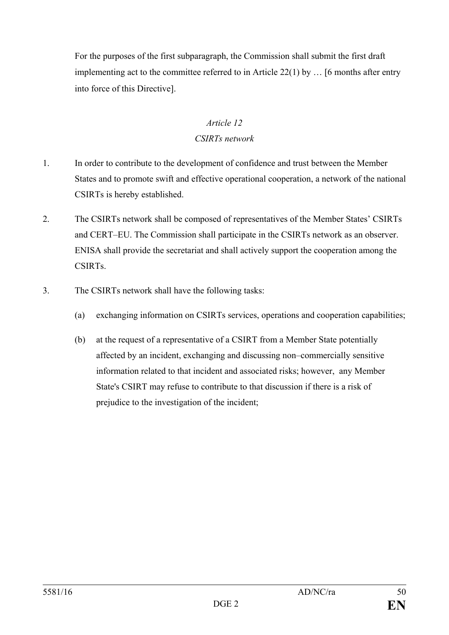For the purposes of the first subparagraph, the Commission shall submit the first draft implementing act to the committee referred to in Article 22(1) by … [6 months after entry into force of this Directive].

## *Article 12*

#### *CSIRTs network*

- 1. In order to contribute to the development of confidence and trust between the Member States and to promote swift and effective operational cooperation, a network of the national CSIRTs is hereby established.
- 2. The CSIRTs network shall be composed of representatives of the Member States' CSIRTs and CERT–EU. The Commission shall participate in the CSIRTs network as an observer. ENISA shall provide the secretariat and shall actively support the cooperation among the CSIRTs.
- 3. The CSIRTs network shall have the following tasks:
	- (a) exchanging information on CSIRTs services, operations and cooperation capabilities;
	- (b) at the request of a representative of a CSIRT from a Member State potentially affected by an incident, exchanging and discussing non–commercially sensitive information related to that incident and associated risks; however, any Member State's CSIRT may refuse to contribute to that discussion if there is a risk of prejudice to the investigation of the incident;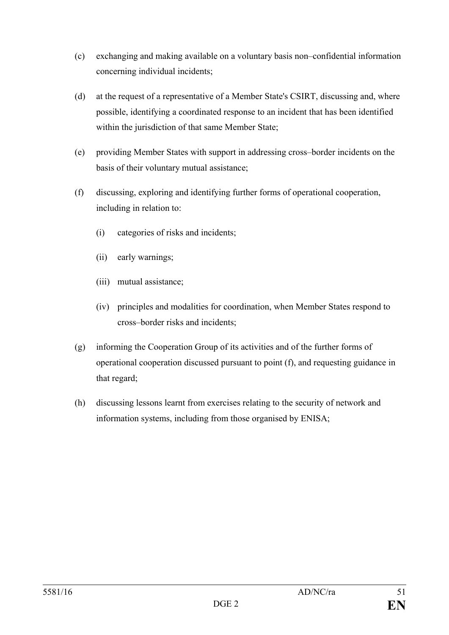- (c) exchanging and making available on a voluntary basis non–confidential information concerning individual incidents;
- (d) at the request of a representative of a Member State's CSIRT, discussing and, where possible, identifying a coordinated response to an incident that has been identified within the jurisdiction of that same Member State;
- (e) providing Member States with support in addressing cross–border incidents on the basis of their voluntary mutual assistance;
- (f) discussing, exploring and identifying further forms of operational cooperation, including in relation to:
	- (i) categories of risks and incidents;
	- (ii) early warnings;
	- (iii) mutual assistance;
	- (iv) principles and modalities for coordination, when Member States respond to cross–border risks and incidents;
- (g) informing the Cooperation Group of its activities and of the further forms of operational cooperation discussed pursuant to point (f), and requesting guidance in that regard;
- (h) discussing lessons learnt from exercises relating to the security of network and information systems, including from those organised by ENISA;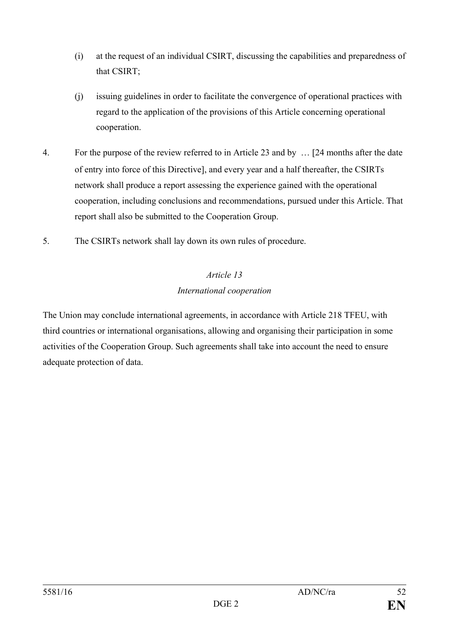- (i) at the request of an individual CSIRT, discussing the capabilities and preparedness of that CSIRT;
- (j) issuing guidelines in order to facilitate the convergence of operational practices with regard to the application of the provisions of this Article concerning operational cooperation.
- 4. For the purpose of the review referred to in Article 23 and by … [24 months after the date of entry into force of this Directive], and every year and a half thereafter, the CSIRTs network shall produce a report assessing the experience gained with the operational cooperation, including conclusions and recommendations, pursued under this Article. That report shall also be submitted to the Cooperation Group.
- 5. The CSIRTs network shall lay down its own rules of procedure.

## *Article 13 International cooperation*

The Union may conclude international agreements, in accordance with Article 218 TFEU, with third countries or international organisations, allowing and organising their participation in some activities of the Cooperation Group. Such agreements shall take into account the need to ensure adequate protection of data.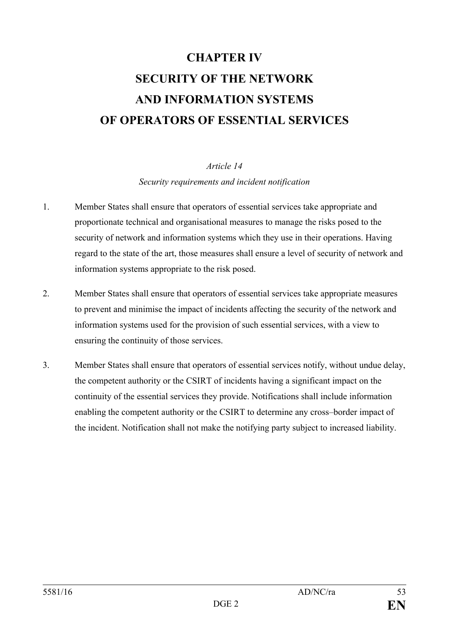# **CHAPTER IV SECURITY OF THE NETWORK AND INFORMATION SYSTEMS OF OPERATORS OF ESSENTIAL SERVICES**

#### *Article 14*

*Security requirements and incident notification*

- 1. Member States shall ensure that operators of essential services take appropriate and proportionate technical and organisational measures to manage the risks posed to the security of network and information systems which they use in their operations. Having regard to the state of the art, those measures shall ensure a level of security of network and information systems appropriate to the risk posed.
- 2. Member States shall ensure that operators of essential services take appropriate measures to prevent and minimise the impact of incidents affecting the security of the network and information systems used for the provision of such essential services, with a view to ensuring the continuity of those services.
- 3. Member States shall ensure that operators of essential services notify, without undue delay, the competent authority or the CSIRT of incidents having a significant impact on the continuity of the essential services they provide. Notifications shall include information enabling the competent authority or the CSIRT to determine any cross–border impact of the incident. Notification shall not make the notifying party subject to increased liability.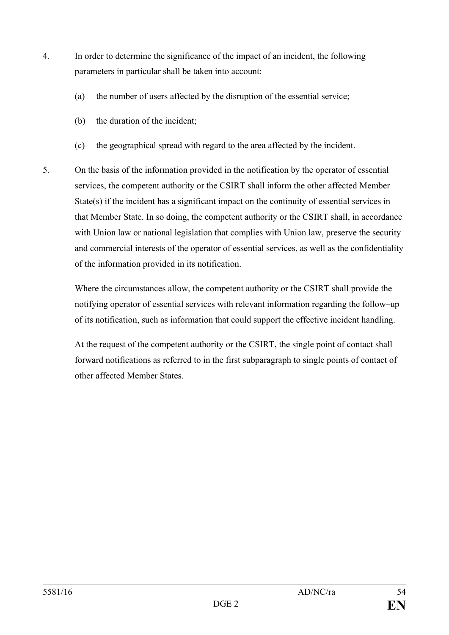- 4. In order to determine the significance of the impact of an incident, the following parameters in particular shall be taken into account:
	- (a) the number of users affected by the disruption of the essential service;
	- (b) the duration of the incident;
	- (c) the geographical spread with regard to the area affected by the incident.
- 5. On the basis of the information provided in the notification by the operator of essential services, the competent authority or the CSIRT shall inform the other affected Member State(s) if the incident has a significant impact on the continuity of essential services in that Member State. In so doing, the competent authority or the CSIRT shall, in accordance with Union law or national legislation that complies with Union law, preserve the security and commercial interests of the operator of essential services, as well as the confidentiality of the information provided in its notification.

Where the circumstances allow, the competent authority or the CSIRT shall provide the notifying operator of essential services with relevant information regarding the follow–up of its notification, such as information that could support the effective incident handling.

At the request of the competent authority or the CSIRT, the single point of contact shall forward notifications as referred to in the first subparagraph to single points of contact of other affected Member States.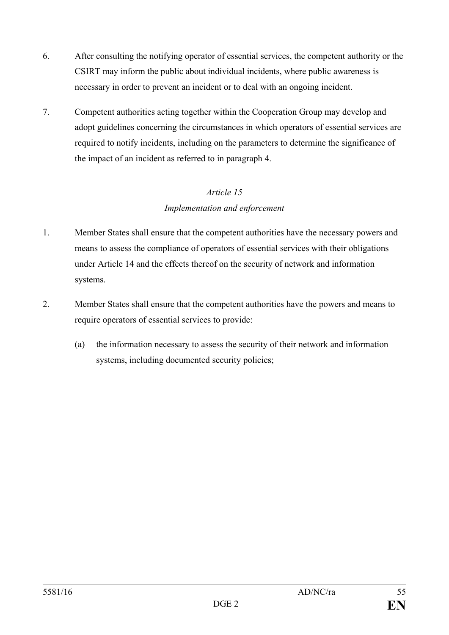- 6. After consulting the notifying operator of essential services, the competent authority or the CSIRT may inform the public about individual incidents, where public awareness is necessary in order to prevent an incident or to deal with an ongoing incident.
- 7. Competent authorities acting together within the Cooperation Group may develop and adopt guidelines concerning the circumstances in which operators of essential services are required to notify incidents, including on the parameters to determine the significance of the impact of an incident as referred to in paragraph 4.

## *Article 15 Implementation and enforcement*

- 1. Member States shall ensure that the competent authorities have the necessary powers and means to assess the compliance of operators of essential services with their obligations under Article 14 and the effects thereof on the security of network and information systems.
- 2. Member States shall ensure that the competent authorities have the powers and means to require operators of essential services to provide:
	- (a) the information necessary to assess the security of their network and information systems, including documented security policies;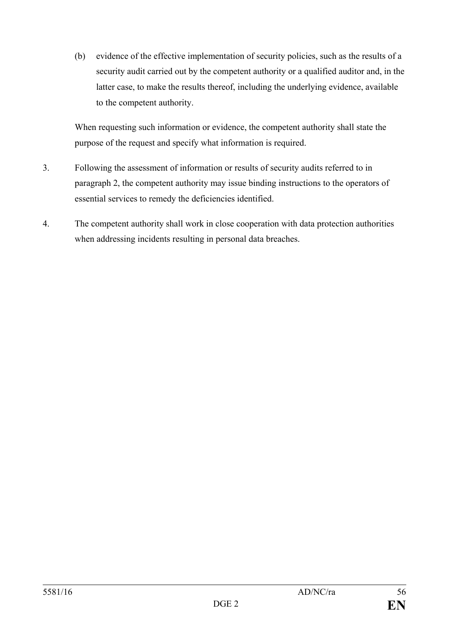(b) evidence of the effective implementation of security policies, such as the results of a security audit carried out by the competent authority or a qualified auditor and, in the latter case, to make the results thereof, including the underlying evidence, available to the competent authority.

When requesting such information or evidence, the competent authority shall state the purpose of the request and specify what information is required.

- 3. Following the assessment of information or results of security audits referred to in paragraph 2, the competent authority may issue binding instructions to the operators of essential services to remedy the deficiencies identified.
- 4. The competent authority shall work in close cooperation with data protection authorities when addressing incidents resulting in personal data breaches.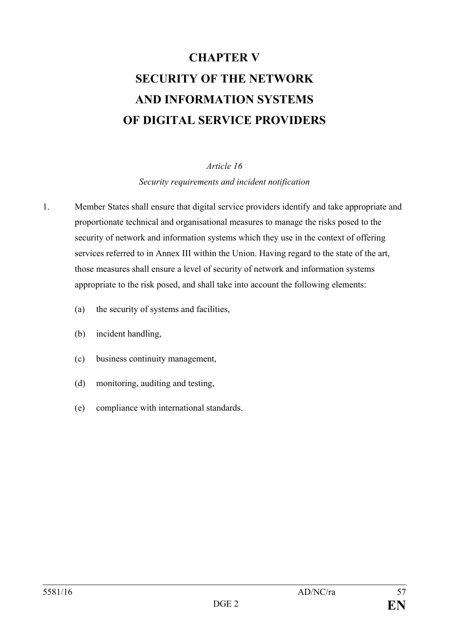# **CHAPTER V SECURITY OF THE NETWORK AND INFORMATION SYSTEMS OF DIGITAL SERVICE PROVIDERS**

#### *Article 16*

*Security requirements and incident notification*

- 1. Member States shall ensure that digital service providers identify and take appropriate and proportionate technical and organisational measures to manage the risks posed to the security of network and information systems which they use in the context of offering services referred to in Annex III within the Union. Having regard to the state of the art, those measures shall ensure a level of security of network and information systems appropriate to the risk posed, and shall take into account the following elements:
	- (a) the security of systems and facilities,
	- (b) incident handling,
	- (c) business continuity management,
	- (d) monitoring, auditing and testing,
	- (e) compliance with international standards.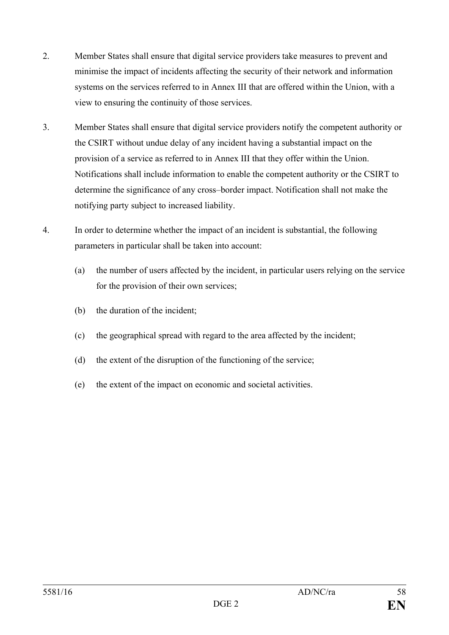- 2. Member States shall ensure that digital service providers take measures to prevent and minimise the impact of incidents affecting the security of their network and information systems on the services referred to in Annex III that are offered within the Union, with a view to ensuring the continuity of those services.
- 3. Member States shall ensure that digital service providers notify the competent authority or the CSIRT without undue delay of any incident having a substantial impact on the provision of a service as referred to in Annex III that they offer within the Union. Notifications shall include information to enable the competent authority or the CSIRT to determine the significance of any cross–border impact. Notification shall not make the notifying party subject to increased liability.
- 4. In order to determine whether the impact of an incident is substantial, the following parameters in particular shall be taken into account:
	- (a) the number of users affected by the incident, in particular users relying on the service for the provision of their own services;
	- (b) the duration of the incident;
	- (c) the geographical spread with regard to the area affected by the incident;
	- (d) the extent of the disruption of the functioning of the service;
	- (e) the extent of the impact on economic and societal activities.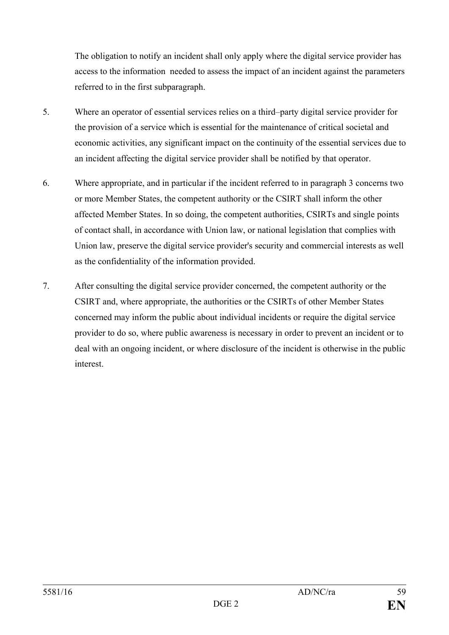The obligation to notify an incident shall only apply where the digital service provider has access to the information needed to assess the impact of an incident against the parameters referred to in the first subparagraph.

- 5. Where an operator of essential services relies on a third–party digital service provider for the provision of a service which is essential for the maintenance of critical societal and economic activities, any significant impact on the continuity of the essential services due to an incident affecting the digital service provider shall be notified by that operator.
- 6. Where appropriate, and in particular if the incident referred to in paragraph 3 concerns two or more Member States, the competent authority or the CSIRT shall inform the other affected Member States. In so doing, the competent authorities, CSIRTs and single points of contact shall, in accordance with Union law, or national legislation that complies with Union law, preserve the digital service provider's security and commercial interests as well as the confidentiality of the information provided.
- 7. After consulting the digital service provider concerned, the competent authority or the CSIRT and, where appropriate, the authorities or the CSIRTs of other Member States concerned may inform the public about individual incidents or require the digital service provider to do so, where public awareness is necessary in order to prevent an incident or to deal with an ongoing incident, or where disclosure of the incident is otherwise in the public interest.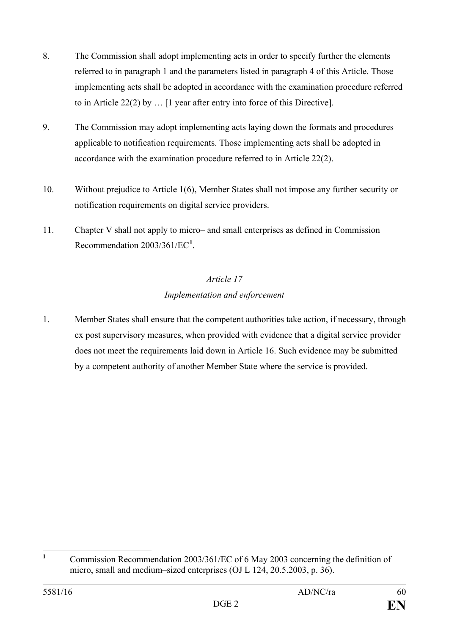- 8. The Commission shall adopt implementing acts in order to specify further the elements referred to in paragraph 1 and the parameters listed in paragraph 4 of this Article. Those implementing acts shall be adopted in accordance with the examination procedure referred to in Article 22(2) by … [1 year after entry into force of this Directive].
- 9. The Commission may adopt implementing acts laying down the formats and procedures applicable to notification requirements. Those implementing acts shall be adopted in accordance with the examination procedure referred to in Article 22(2).
- 10. Without prejudice to Article 1(6), Member States shall not impose any further security or notification requirements on digital service providers.
- 11. Chapter V shall not apply to micro– and small enterprises as defined in Commission Recommendation 2003/361/EC**[1](#page-60-0)** .

## *Article 17 Implementation and enforcement*

1. Member States shall ensure that the competent authorities take action, if necessary, through ex post supervisory measures, when provided with evidence that a digital service provider does not meet the requirements laid down in Article 16. Such evidence may be submitted by a competent authority of another Member State where the service is provided.

<span id="page-60-0"></span>**<sup>1</sup>** Commission Recommendation 2003/361/EC of 6 May 2003 concerning the definition of micro, small and medium–sized enterprises (OJ L 124, 20.5.2003, p. 36).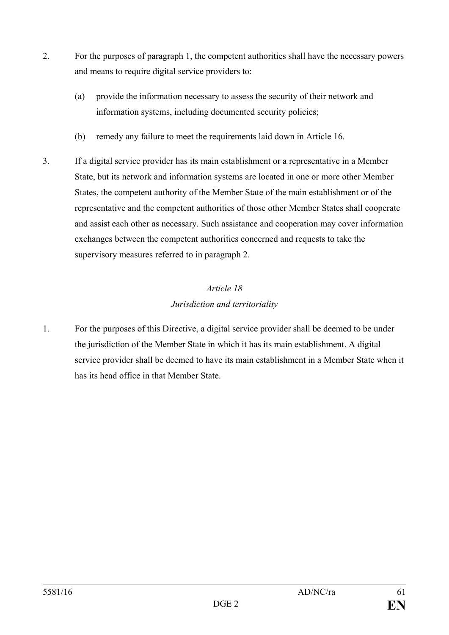- 2. For the purposes of paragraph 1, the competent authorities shall have the necessary powers and means to require digital service providers to:
	- (a) provide the information necessary to assess the security of their network and information systems, including documented security policies;
	- (b) remedy any failure to meet the requirements laid down in Article 16.
- 3. If a digital service provider has its main establishment or a representative in a Member State, but its network and information systems are located in one or more other Member States, the competent authority of the Member State of the main establishment or of the representative and the competent authorities of those other Member States shall cooperate and assist each other as necessary. Such assistance and cooperation may cover information exchanges between the competent authorities concerned and requests to take the supervisory measures referred to in paragraph 2.

## *Article 18 Jurisdiction and territoriality*

1. For the purposes of this Directive, a digital service provider shall be deemed to be under the jurisdiction of the Member State in which it has its main establishment. A digital service provider shall be deemed to have its main establishment in a Member State when it has its head office in that Member State.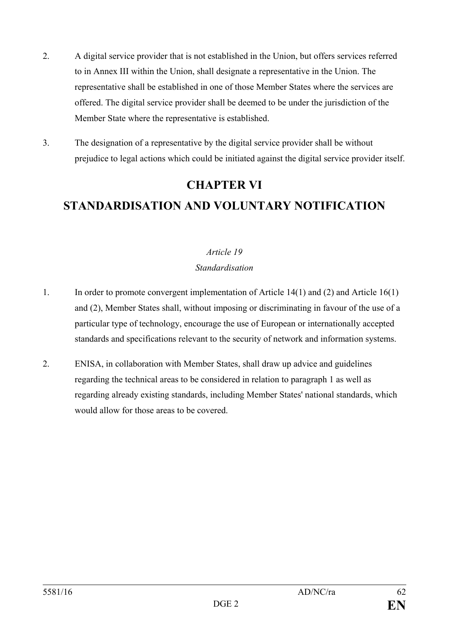- 2. A digital service provider that is not established in the Union, but offers services referred to in Annex III within the Union, shall designate a representative in the Union. The representative shall be established in one of those Member States where the services are offered. The digital service provider shall be deemed to be under the jurisdiction of the Member State where the representative is established.
- 3. The designation of a representative by the digital service provider shall be without prejudice to legal actions which could be initiated against the digital service provider itself.

# **CHAPTER VI STANDARDISATION AND VOLUNTARY NOTIFICATION**

### *Article 19*

#### *Standardisation*

- 1. In order to promote convergent implementation of Article 14(1) and (2) and Article 16(1) and (2), Member States shall, without imposing or discriminating in favour of the use of a particular type of technology, encourage the use of European or internationally accepted standards and specifications relevant to the security of network and information systems.
- 2. ENISA, in collaboration with Member States, shall draw up advice and guidelines regarding the technical areas to be considered in relation to paragraph 1 as well as regarding already existing standards, including Member States' national standards, which would allow for those areas to be covered.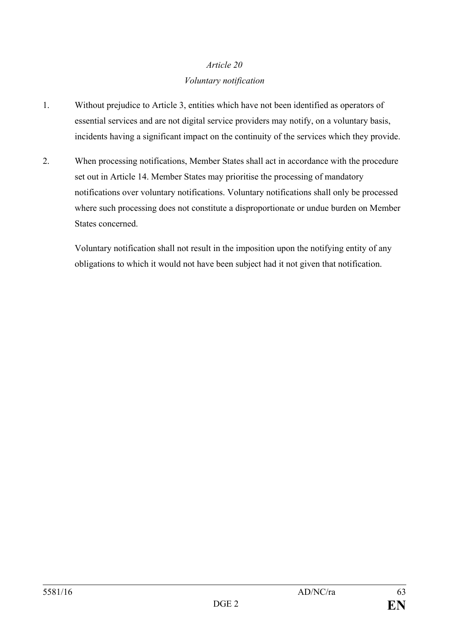## *Article 20 Voluntary notification*

- 1. Without prejudice to Article 3, entities which have not been identified as operators of essential services and are not digital service providers may notify, on a voluntary basis, incidents having a significant impact on the continuity of the services which they provide.
- 2. When processing notifications, Member States shall act in accordance with the procedure set out in Article 14. Member States may prioritise the processing of mandatory notifications over voluntary notifications. Voluntary notifications shall only be processed where such processing does not constitute a disproportionate or undue burden on Member States concerned.

Voluntary notification shall not result in the imposition upon the notifying entity of any obligations to which it would not have been subject had it not given that notification.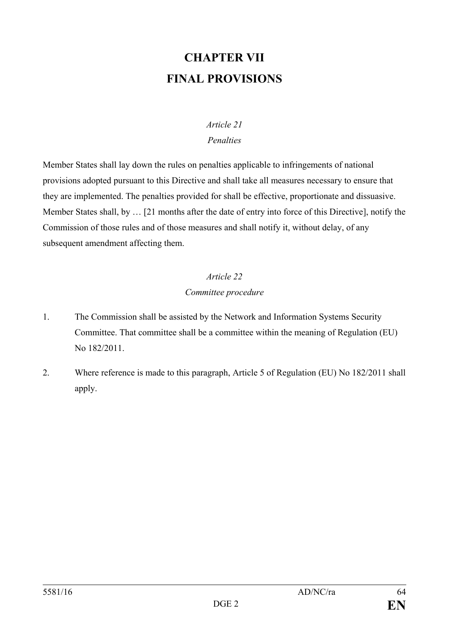## **CHAPTER VII FINAL PROVISIONS**

#### *Article 21*

#### *Penalties*

Member States shall lay down the rules on penalties applicable to infringements of national provisions adopted pursuant to this Directive and shall take all measures necessary to ensure that they are implemented. The penalties provided for shall be effective, proportionate and dissuasive. Member States shall, by … [21 months after the date of entry into force of this Directive], notify the Commission of those rules and of those measures and shall notify it, without delay, of any subsequent amendment affecting them.

### *Article 22 Committee procedure*

- 1. The Commission shall be assisted by the Network and Information Systems Security Committee. That committee shall be a committee within the meaning of Regulation (EU) No 182/2011.
- 2. Where reference is made to this paragraph, Article 5 of Regulation (EU) No 182/2011 shall apply.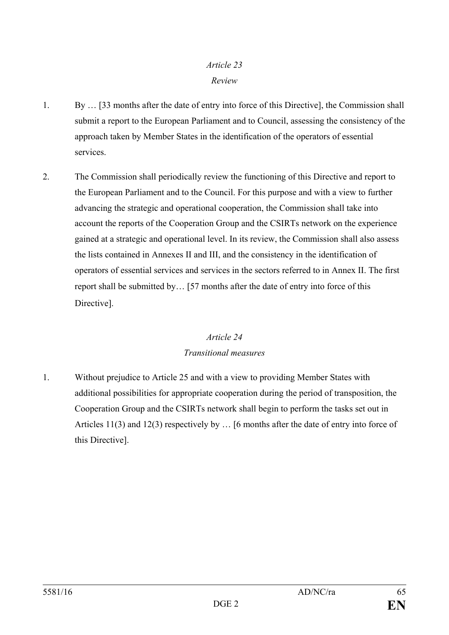#### *Article 23 Review*

- 1. By … [33 months after the date of entry into force of this Directive], the Commission shall submit a report to the European Parliament and to Council, assessing the consistency of the approach taken by Member States in the identification of the operators of essential services.
- 2. The Commission shall periodically review the functioning of this Directive and report to the European Parliament and to the Council. For this purpose and with a view to further advancing the strategic and operational cooperation, the Commission shall take into account the reports of the Cooperation Group and the CSIRTs network on the experience gained at a strategic and operational level. In its review, the Commission shall also assess the lists contained in Annexes II and III, and the consistency in the identification of operators of essential services and services in the sectors referred to in Annex II. The first report shall be submitted by… [57 months after the date of entry into force of this Directive].

## *Article 24 Transitional measures*

1. Without prejudice to Article 25 and with a view to providing Member States with additional possibilities for appropriate cooperation during the period of transposition, the Cooperation Group and the CSIRTs network shall begin to perform the tasks set out in Articles 11(3) and 12(3) respectively by … [6 months after the date of entry into force of this Directive].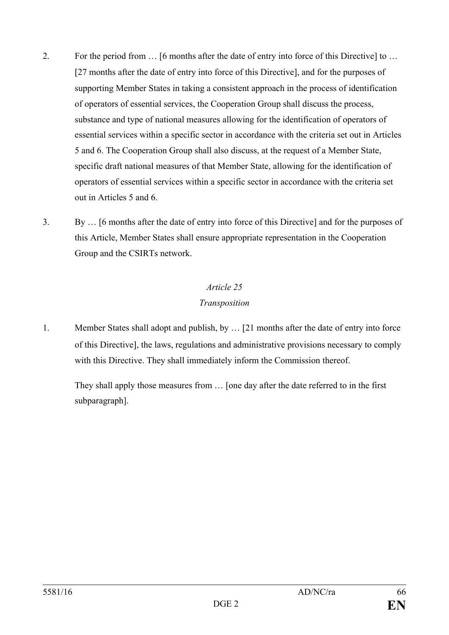- 2. For the period from … [6 months after the date of entry into force of this Directive] to … [27 months after the date of entry into force of this Directive], and for the purposes of supporting Member States in taking a consistent approach in the process of identification of operators of essential services, the Cooperation Group shall discuss the process, substance and type of national measures allowing for the identification of operators of essential services within a specific sector in accordance with the criteria set out in Articles 5 and 6. The Cooperation Group shall also discuss, at the request of a Member State, specific draft national measures of that Member State, allowing for the identification of operators of essential services within a specific sector in accordance with the criteria set out in Articles 5 and 6.
- 3. By … [6 months after the date of entry into force of this Directive] and for the purposes of this Article, Member States shall ensure appropriate representation in the Cooperation Group and the CSIRTs network.

## *Article 25 Transposition*

1. Member States shall adopt and publish, by … [21 months after the date of entry into force of this Directive], the laws, regulations and administrative provisions necessary to comply with this Directive. They shall immediately inform the Commission thereof.

They shall apply those measures from … [one day after the date referred to in the first subparagraph].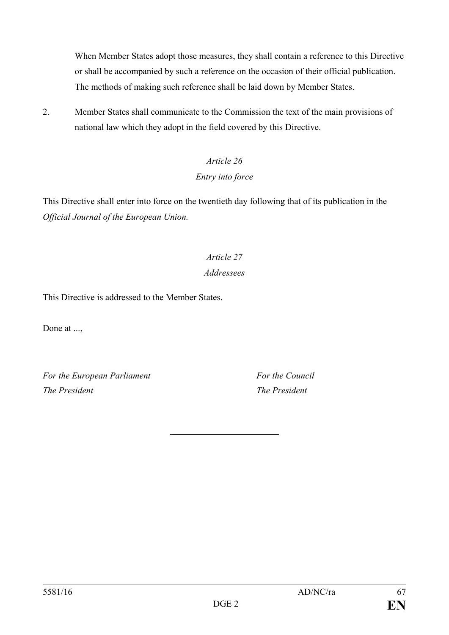When Member States adopt those measures, they shall contain a reference to this Directive or shall be accompanied by such a reference on the occasion of their official publication. The methods of making such reference shall be laid down by Member States.

2. Member States shall communicate to the Commission the text of the main provisions of national law which they adopt in the field covered by this Directive.

## *Article 26 Entry into force*

This Directive shall enter into force on the twentieth day following that of its publication in the *Official Journal of the European Union.*

#### *Article 27 Addressees*

#### This Directive is addressed to the Member States.

Done at ...,

*For the European Parliament For the Council The President The President*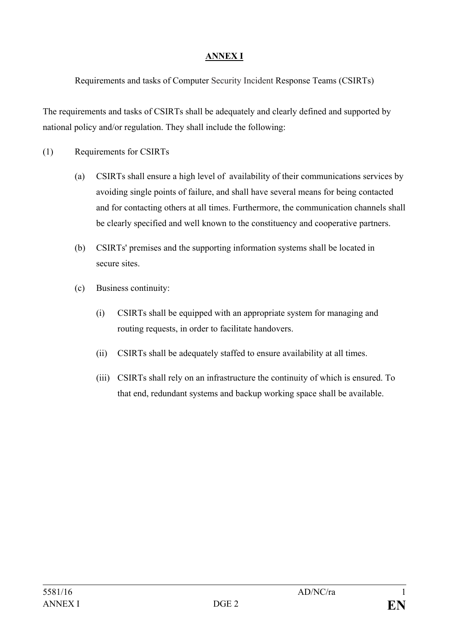#### **ANNEX I**

Requirements and tasks of Computer Security Incident Response Teams (CSIRTs)

The requirements and tasks of CSIRTs shall be adequately and clearly defined and supported by national policy and/or regulation. They shall include the following:

(1) Requirements for CSIRTs

- (a) CSIRTs shall ensure a high level of availability of their communications services by avoiding single points of failure, and shall have several means for being contacted and for contacting others at all times. Furthermore, the communication channels shall be clearly specified and well known to the constituency and cooperative partners.
- (b) CSIRTs' premises and the supporting information systems shall be located in secure sites.
- (c) Business continuity:
	- (i) CSIRTs shall be equipped with an appropriate system for managing and routing requests, in order to facilitate handovers.
	- (ii) CSIRTs shall be adequately staffed to ensure availability at all times.
	- (iii) CSIRTs shall rely on an infrastructure the continuity of which is ensured. To that end, redundant systems and backup working space shall be available.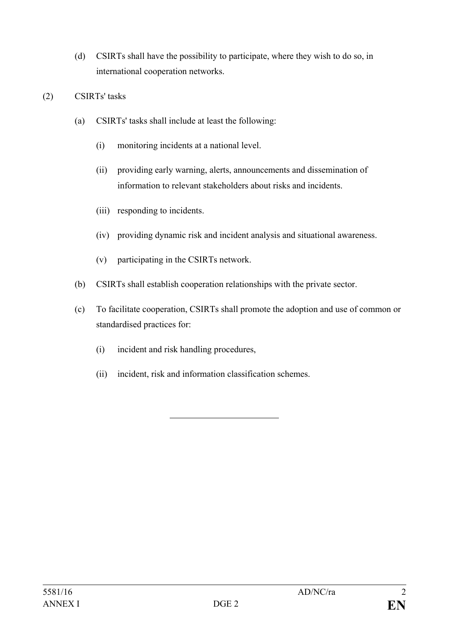- (d) CSIRTs shall have the possibility to participate, where they wish to do so, in international cooperation networks.
- (2) CSIRTs' tasks
	- (a) CSIRTs' tasks shall include at least the following:
		- (i) monitoring incidents at a national level.
		- (ii) providing early warning, alerts, announcements and dissemination of information to relevant stakeholders about risks and incidents.
		- (iii) responding to incidents.
		- (iv) providing dynamic risk and incident analysis and situational awareness.
		- (v) participating in the CSIRTs network.
	- (b) CSIRTs shall establish cooperation relationships with the private sector.
	- (c) To facilitate cooperation, CSIRTs shall promote the adoption and use of common or standardised practices for:
		- (i) incident and risk handling procedures,
		- (ii) incident, risk and information classification schemes.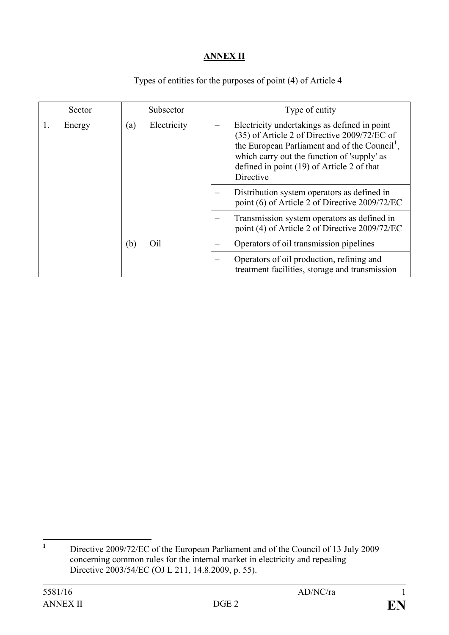#### **ANNEX II**

|    | Sector |     | Subsector   | Type of entity                                                                                                                                                                                                                                                        |
|----|--------|-----|-------------|-----------------------------------------------------------------------------------------------------------------------------------------------------------------------------------------------------------------------------------------------------------------------|
| 1. | Energy | (a) | Electricity | Electricity undertakings as defined in point<br>(35) of Article 2 of Directive 2009/72/EC of<br>the European Parliament and of the Council <sup>1</sup> ,<br>which carry out the function of 'supply' as<br>defined in point $(19)$ of Article 2 of that<br>Directive |
|    |        |     |             | Distribution system operators as defined in<br>point (6) of Article 2 of Directive 2009/72/EC                                                                                                                                                                         |
|    |        |     |             | Transmission system operators as defined in<br>point (4) of Article 2 of Directive 2009/72/EC                                                                                                                                                                         |
|    |        | (b) | Oil         | Operators of oil transmission pipelines                                                                                                                                                                                                                               |
|    |        |     |             | Operators of oil production, refining and<br>treatment facilities, storage and transmission                                                                                                                                                                           |

Types of entities for the purposes of point (4) of Article 4

<span id="page-70-0"></span><sup>&</sup>lt;sup>1</sup> Directive 2009/72/EC of the European Parliament and of the Council of 13 July 2009 concerning common rules for the internal market in electricity and repealing Directive 2003/54/EC (OJ L 211, 14.8.2009, p. 55).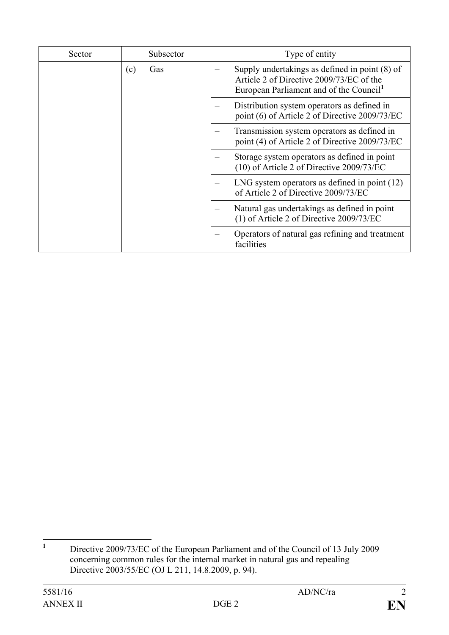| Sector | Subsector  | Type of entity                                                                                                                                    |
|--------|------------|---------------------------------------------------------------------------------------------------------------------------------------------------|
|        | (c)<br>Gas | Supply undertakings as defined in point (8) of<br>Article 2 of Directive 2009/73/EC of the<br>European Parliament and of the Council <sup>1</sup> |
|        |            | Distribution system operators as defined in<br>point (6) of Article 2 of Directive 2009/73/EC                                                     |
|        |            | Transmission system operators as defined in<br>point (4) of Article 2 of Directive 2009/73/EC                                                     |
|        |            | Storage system operators as defined in point<br>$(10)$ of Article 2 of Directive 2009/73/EC                                                       |
|        |            | LNG system operators as defined in point $(12)$<br>of Article 2 of Directive 2009/73/EC                                                           |
|        |            | Natural gas undertakings as defined in point<br>$(1)$ of Article 2 of Directive 2009/73/EC                                                        |
|        |            | Operators of natural gas refining and treatment<br>facilities                                                                                     |

<span id="page-71-0"></span><sup>&</sup>lt;sup>1</sup> Directive 2009/73/EC of the European Parliament and of the Council of 13 July 2009 concerning common rules for the internal market in natural gas and repealing Directive 2003/55/EC (OJ L 211, 14.8.2009, p. 94).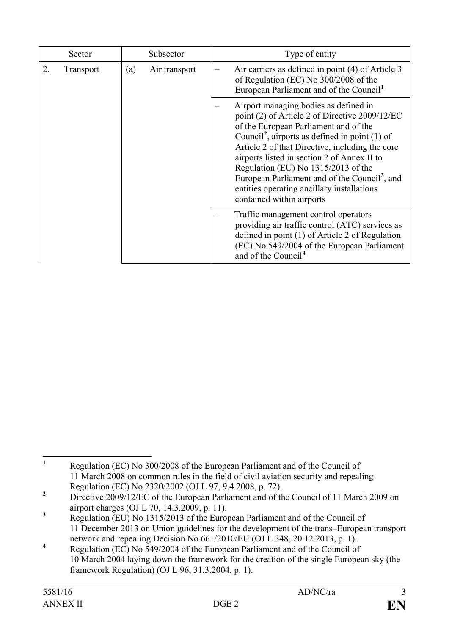| Sector |           | Subsector            | Type of entity                                                                                                                                                                                                                                                                                                                                                                                                                                                                    |  |
|--------|-----------|----------------------|-----------------------------------------------------------------------------------------------------------------------------------------------------------------------------------------------------------------------------------------------------------------------------------------------------------------------------------------------------------------------------------------------------------------------------------------------------------------------------------|--|
| 2.     | Transport | Air transport<br>(a) | Air carriers as defined in point (4) of Article 3<br>of Regulation (EC) No 300/2008 of the<br>European Parliament and of the Council <sup>1</sup>                                                                                                                                                                                                                                                                                                                                 |  |
|        |           |                      | Airport managing bodies as defined in<br>point (2) of Article 2 of Directive 2009/12/EC<br>of the European Parliament and of the<br>Council <sup>2</sup> , airports as defined in point $(1)$ of<br>Article 2 of that Directive, including the core<br>airports listed in section 2 of Annex II to<br>Regulation (EU) No 1315/2013 of the<br>European Parliament and of the Council <sup>3</sup> , and<br>entities operating ancillary installations<br>contained within airports |  |
|        |           |                      | Traffic management control operators<br>providing air traffic control (ATC) services as<br>defined in point $(1)$ of Article 2 of Regulation<br>(EC) No 549/2004 of the European Parliament<br>and of the Council <sup>4</sup>                                                                                                                                                                                                                                                    |  |

<span id="page-72-0"></span>**<sup>1</sup>** Regulation (EC) No 300/2008 of the European Parliament and of the Council of 11 March 2008 on common rules in the field of civil aviation security and repealing Regulation (EC) No 2320/2002 (OJ L 97, 9.4.2008, p. 72).

<span id="page-72-1"></span><sup>&</sup>lt;sup>2</sup> Directive 2009/12/EC of the European Parliament and of the Council of 11 March 2009 on airport charges (OJ L 70, 14.3.2009, p. 11).

<span id="page-72-2"></span><sup>&</sup>lt;sup>3</sup> Regulation (EU) No 1315/2013 of the European Parliament and of the Council of 11 December 2013 on Union guidelines for the development of the trans–European transport

<span id="page-72-3"></span>network and repealing Decision No 661/2010/EU (OJ L 348, 20.12.2013, p. 1).<br>**4** Regulation (EC) No 549/2004 of the European Parliament and of the Council of 10 March 2004 laying down the framework for the creation of the single European sky (the framework Regulation) (OJ L 96, 31.3.2004, p. 1).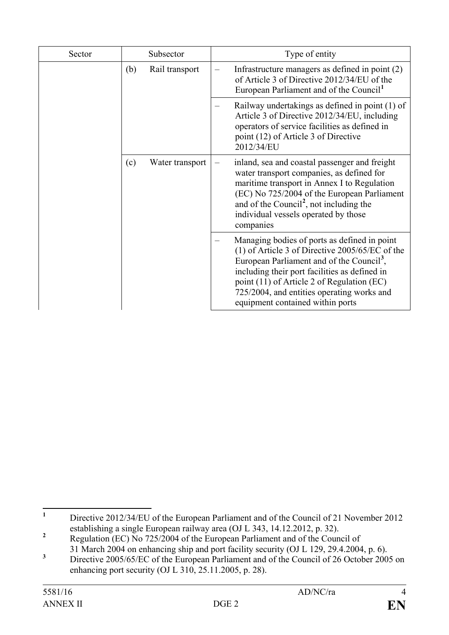| Sector |                        | Subsector                                                                                                                                                                                                                                                                                                                                   | Type of entity                                                                                                                                                                                                                                                                                       |
|--------|------------------------|---------------------------------------------------------------------------------------------------------------------------------------------------------------------------------------------------------------------------------------------------------------------------------------------------------------------------------------------|------------------------------------------------------------------------------------------------------------------------------------------------------------------------------------------------------------------------------------------------------------------------------------------------------|
|        | (b)                    | Rail transport                                                                                                                                                                                                                                                                                                                              | Infrastructure managers as defined in point (2)<br>of Article 3 of Directive 2012/34/EU of the<br>European Parliament and of the Council <sup>1</sup>                                                                                                                                                |
|        |                        |                                                                                                                                                                                                                                                                                                                                             | Railway undertakings as defined in point $(1)$ of<br>Article 3 of Directive 2012/34/EU, including<br>operators of service facilities as defined in<br>point (12) of Article 3 of Directive<br>2012/34/EU                                                                                             |
|        | Water transport<br>(c) |                                                                                                                                                                                                                                                                                                                                             | inland, sea and coastal passenger and freight<br>water transport companies, as defined for<br>maritime transport in Annex I to Regulation<br>(EC) No 725/2004 of the European Parliament<br>and of the Council <sup>2</sup> , not including the<br>individual vessels operated by those<br>companies |
|        |                        | Managing bodies of ports as defined in point<br>$(1)$ of Article 3 of Directive 2005/65/EC of the<br>European Parliament and of the Council <sup>3</sup> ,<br>including their port facilities as defined in<br>point (11) of Article 2 of Regulation (EC)<br>725/2004, and entities operating works and<br>equipment contained within ports |                                                                                                                                                                                                                                                                                                      |

**<sup>1</sup>** Directive 2012/34/EU of the European Parliament and of the Council of 21 November 2012

<span id="page-73-1"></span><span id="page-73-0"></span>establishing a single European railway area (OJ L 343, 14.12.2012, p. 32).<br>
<sup>2</sup> Regulation (EC) No 725/2004 of the European Parliament and of the Council of<br>
31 March 2004 on enhancing ship and port facility security (OJ L

<span id="page-73-2"></span><sup>&</sup>lt;sup>3</sup> Directive 2005/65/EC of the European Parliament and of the Council of 26 October 2005 on enhancing port security (OJ L 310, 25.11.2005, p. 28).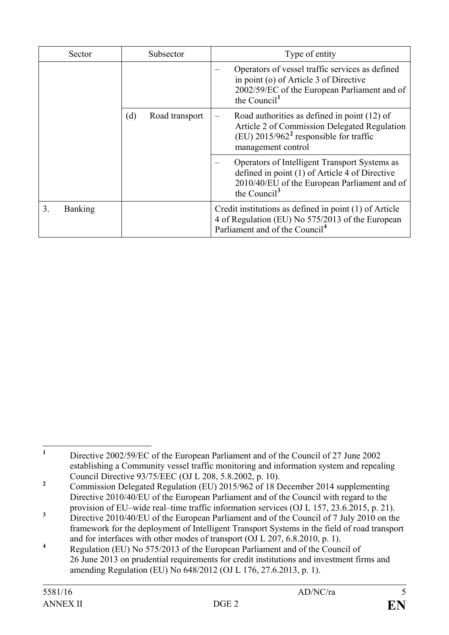|    | Sector         | Subsector             | Type of entity                                                                                                                                                              |  |
|----|----------------|-----------------------|-----------------------------------------------------------------------------------------------------------------------------------------------------------------------------|--|
|    |                |                       | Operators of vessel traffic services as defined<br>in point (o) of Article 3 of Directive<br>2002/59/EC of the European Parliament and of<br>the Council <sup>1</sup>       |  |
|    |                | (d)<br>Road transport | Road authorities as defined in point (12) of<br>Article 2 of Commission Delegated Regulation<br>(EU) $2015/962^2$ responsible for traffic<br>management control             |  |
|    |                |                       | Operators of Intelligent Transport Systems as<br>defined in point (1) of Article 4 of Directive<br>2010/40/EU of the European Parliament and of<br>the Council <sup>3</sup> |  |
| 3. | <b>Banking</b> |                       | Credit institutions as defined in point (1) of Article<br>4 of Regulation (EU) No 575/2013 of the European<br>Parliament and of the Council <sup>4</sup>                    |  |

<span id="page-74-0"></span><sup>&</sup>lt;sup>1</sup> Directive 2002/59/EC of the European Parliament and of the Council of 27 June 2002 establishing a Community vessel traffic monitoring and information system and repealing Council Directive 93/75/EEC (OJ L 208, 5.8.2002, p. 10).

<span id="page-74-1"></span><sup>&</sup>lt;sup>2</sup> Commission Delegated Regulation (EU) 2015/962 of 18 December 2014 supplementing Directive 2010/40/EU of the European Parliament and of the Council with regard to the provision of EU–wide real–time traffic information services (OJ L 157, 23.6.2015, p. 21).

<span id="page-74-2"></span><sup>&</sup>lt;sup>3</sup> Directive 2010/40/EU of the European Parliament and of the Council of 7 July 2010 on the framework for the deployment of Intelligent Transport Systems in the field of road transport and for interfaces with other modes of transport (OJ L 207, 6.8.2010, p. 1).

<span id="page-74-3"></span>**<sup>4</sup>** Regulation (EU) No 575/2013 of the European Parliament and of the Council of 26 June 2013 on prudential requirements for credit institutions and investment firms and amending Regulation (EU) No 648/2012 (OJ L 176, 27.6.2013, p. 1).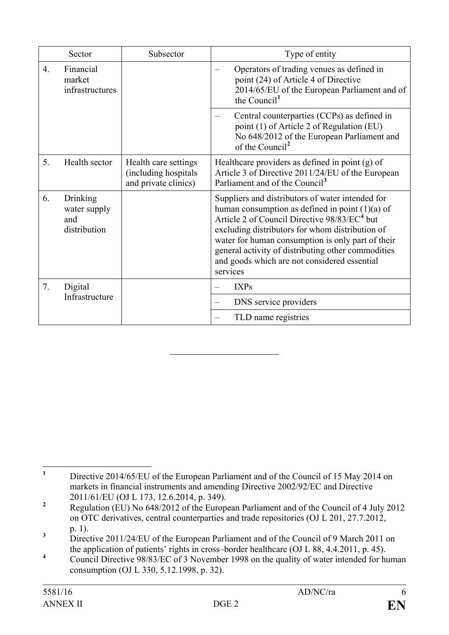| Sector |                                                 | Subsector                                                             | Type of entity                                                                                                                                                                                                                                                                                                                                                                              |
|--------|-------------------------------------------------|-----------------------------------------------------------------------|---------------------------------------------------------------------------------------------------------------------------------------------------------------------------------------------------------------------------------------------------------------------------------------------------------------------------------------------------------------------------------------------|
| 4.     | Financial<br>market<br>infrastructures          |                                                                       | Operators of trading venues as defined in<br>point (24) of Article 4 of Directive<br>2014/65/EU of the European Parliament and of<br>the Council <sup>1</sup>                                                                                                                                                                                                                               |
|        |                                                 |                                                                       | Central counterparties (CCPs) as defined in<br>point (1) of Article 2 of Regulation (EU)<br>No 648/2012 of the European Parliament and<br>of the Council <sup>2</sup>                                                                                                                                                                                                                       |
| 5.     | Health sector                                   | Health care settings<br>(including hospitals)<br>and private clinics) | Healthcare providers as defined in point (g) of<br>Article 3 of Directive 2011/24/EU of the European<br>Parliament and of the Council <sup>3</sup>                                                                                                                                                                                                                                          |
| 6.     | Drinking<br>water supply<br>and<br>distribution |                                                                       | Suppliers and distributors of water intended for<br>human consumption as defined in point $(1)(a)$ of<br>Article 2 of Council Directive 98/83/EC <sup>4</sup> but<br>excluding distributors for whom distribution of<br>water for human consumption is only part of their<br>general activity of distributing other commodities<br>and goods which are not considered essential<br>services |
| 7.     | Digital<br>Infrastructure                       |                                                                       | <b>IXPs</b>                                                                                                                                                                                                                                                                                                                                                                                 |
|        |                                                 |                                                                       | DNS service providers                                                                                                                                                                                                                                                                                                                                                                       |
|        |                                                 |                                                                       | TLD name registries                                                                                                                                                                                                                                                                                                                                                                         |

<span id="page-75-0"></span><sup>&</sup>lt;sup>1</sup> Directive 2014/65/EU of the European Parliament and of the Council of 15 May 2014 on markets in financial instruments and amending Directive 2002/92/EC and Directive 2011/61/EU (OJ L 173, 12.6.2014, p. 349).<br>**2** Regulation (EU) No 648/2012 of the European Parliament and of the Council of 4 July 2012

<span id="page-75-1"></span>on OTC derivatives, central counterparties and trade repositories (OJ L 201, 27.7.2012, p. 1). **<sup>3</sup>** Directive 2011/24/EU of the European Parliament and of the Council of 9 March 2011 on

<span id="page-75-2"></span>the application of patients' rights in cross–border healthcare (OJ L 88, 4.4.2011, p. 45).<br>
4 Council Directive 98/83/EC of 3 November 1998 on the quality of water intended for human

<span id="page-75-3"></span>consumption (OJ L 330, 5.12.1998, p. 32).